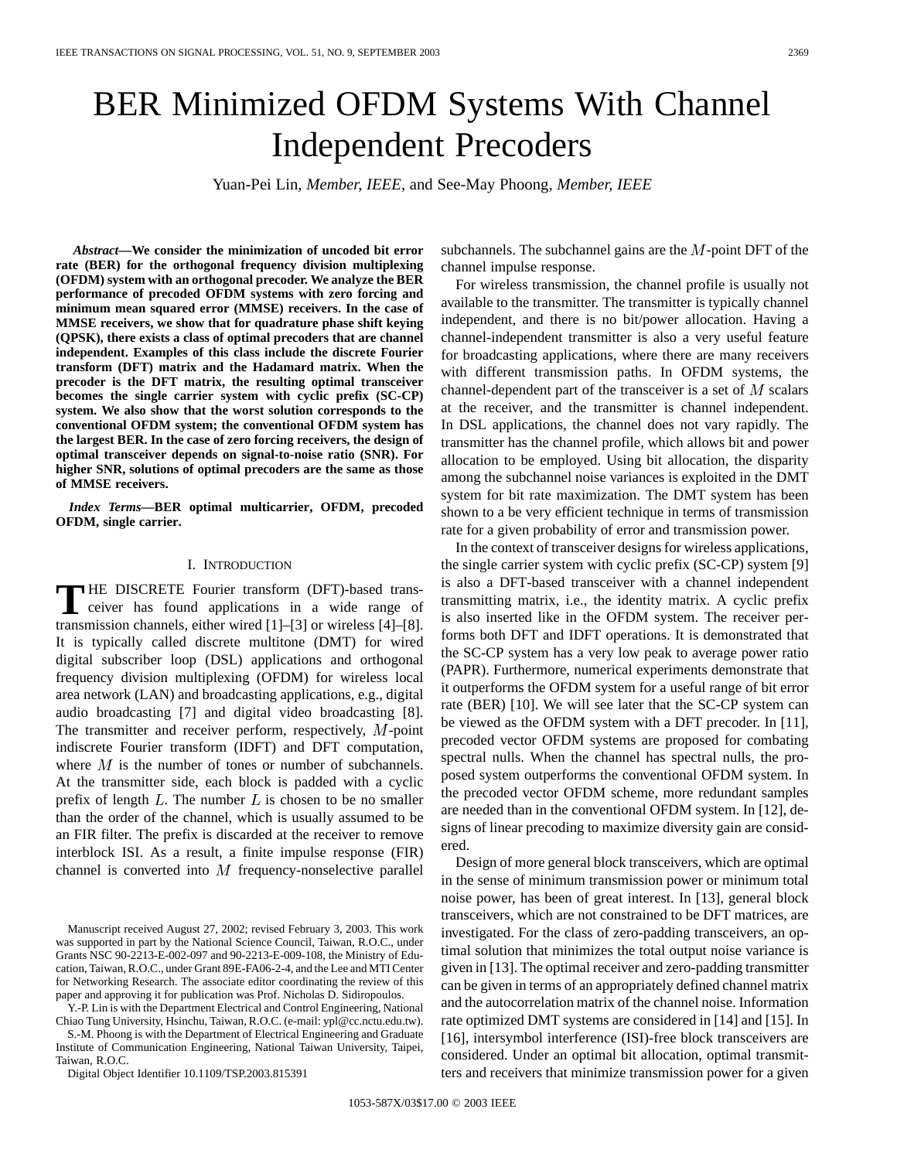# BER Minimized OFDM Systems With Channel Independent Precoders

Yuan-Pei Lin*, Member, IEEE,* and See-May Phoong*, Member, IEEE*

*Abstract—***We consider the minimization of uncoded bit error rate (BER) for the orthogonal frequency division multiplexing (OFDM) system with an orthogonal precoder. We analyze the BER performance of precoded OFDM systems with zero forcing and minimum mean squared error (MMSE) receivers. In the case of MMSE receivers, we show that for quadrature phase shift keying (QPSK), there exists a class of optimal precoders that are channel independent. Examples of this class include the discrete Fourier transform (DFT) matrix and the Hadamard matrix. When the precoder is the DFT matrix, the resulting optimal transceiver becomes the single carrier system with cyclic prefix (SC-CP) system. We also show that the worst solution corresponds to the conventional OFDM system; the conventional OFDM system has the largest BER. In the case of zero forcing receivers, the design of optimal transceiver depends on signal-to-noise ratio (SNR). For higher SNR, solutions of optimal precoders are the same as those of MMSE receivers.**

*Index Terms—***BER optimal multicarrier, OFDM, precoded OFDM, single carrier.**

#### I. INTRODUCTION

THE DISCRETE Fourier transform (DFT)-based trans-<br>
ceiver has found applications in a wide range of<br>
transmission abangels sither wind [1], [2] or windless [4], [9] transmission channels, either wired [1]–[3] or wireless [4]–[8]. It is typically called discrete multitone (DMT) for wired digital subscriber loop (DSL) applications and orthogonal frequency division multiplexing (OFDM) for wireless local area network (LAN) and broadcasting applications, e.g., digital audio broadcasting [7] and digital video broadcasting [8]. The transmitter and receiver perform, respectively,  $M$ -point indiscrete Fourier transform (IDFT) and DFT computation, where  $M$  is the number of tones or number of subchannels. At the transmitter side, each block is padded with a cyclic prefix of length  $L$ . The number  $L$  is chosen to be no smaller than the order of the channel, which is usually assumed to be an FIR filter. The prefix is discarded at the receiver to remove interblock ISI. As a result, a finite impulse response (FIR) channel is converted into  $M$  frequency-nonselective parallel

Y.-P. Lin is with the Department Electrical and Control Engineering, National Chiao Tung University, Hsinchu, Taiwan, R.O.C. (e-mail: ypl@cc.nctu.edu.tw).

S.-M. Phoong is with the Department of Electrical Engineering and Graduate Institute of Communication Engineering, National Taiwan University, Taipei, Taiwan, R.O.C.

Digital Object Identifier 10.1109/TSP.2003.815391

subchannels. The subchannel gains are the  $M$ -point DFT of the channel impulse response.

For wireless transmission, the channel profile is usually not available to the transmitter. The transmitter is typically channel independent, and there is no bit/power allocation. Having a channel-independent transmitter is also a very useful feature for broadcasting applications, where there are many receivers with different transmission paths. In OFDM systems, the channel-dependent part of the transceiver is a set of  $M$  scalars at the receiver, and the transmitter is channel independent. In DSL applications, the channel does not vary rapidly. The transmitter has the channel profile, which allows bit and power allocation to be employed. Using bit allocation, the disparity among the subchannel noise variances is exploited in the DMT system for bit rate maximization. The DMT system has been shown to a be very efficient technique in terms of transmission rate for a given probability of error and transmission power.

In the context of transceiver designs for wireless applications, the single carrier system with cyclic prefix (SC-CP) system [9] is also a DFT-based transceiver with a channel independent transmitting matrix, i.e., the identity matrix. A cyclic prefix is also inserted like in the OFDM system. The receiver performs both DFT and IDFT operations. It is demonstrated that the SC-CP system has a very low peak to average power ratio (PAPR). Furthermore, numerical experiments demonstrate that it outperforms the OFDM system for a useful range of bit error rate (BER) [10]. We will see later that the SC-CP system can be viewed as the OFDM system with a DFT precoder. In [11], precoded vector OFDM systems are proposed for combating spectral nulls. When the channel has spectral nulls, the proposed system outperforms the conventional OFDM system. In the precoded vector OFDM scheme, more redundant samples are needed than in the conventional OFDM system. In [12], designs of linear precoding to maximize diversity gain are considered.

Design of more general block transceivers, which are optimal in the sense of minimum transmission power or minimum total noise power, has been of great interest. In [13], general block transceivers, which are not constrained to be DFT matrices, are investigated. For the class of zero-padding transceivers, an optimal solution that minimizes the total output noise variance is given in [13]. The optimal receiver and zero-padding transmitter can be given in terms of an appropriately defined channel matrix and the autocorrelation matrix of the channel noise. Information rate optimized DMT systems are considered in [14] and [15]. In [16], intersymbol interference (ISI)-free block transceivers are considered. Under an optimal bit allocation, optimal transmitters and receivers that minimize transmission power for a given

Manuscript received August 27, 2002; revised February 3, 2003. This work was supported in part by the National Science Council, Taiwan, R.O.C., under Grants NSC 90-2213-E-002-097 and 90-2213-E-009-108, the Ministry of Education, Taiwan, R.O.C., under Grant 89E-FA06-2-4, and the Lee and MTI Center for Networking Research. The associate editor coordinating the review of this paper and approving it for publication was Prof. Nicholas D. Sidiropoulos.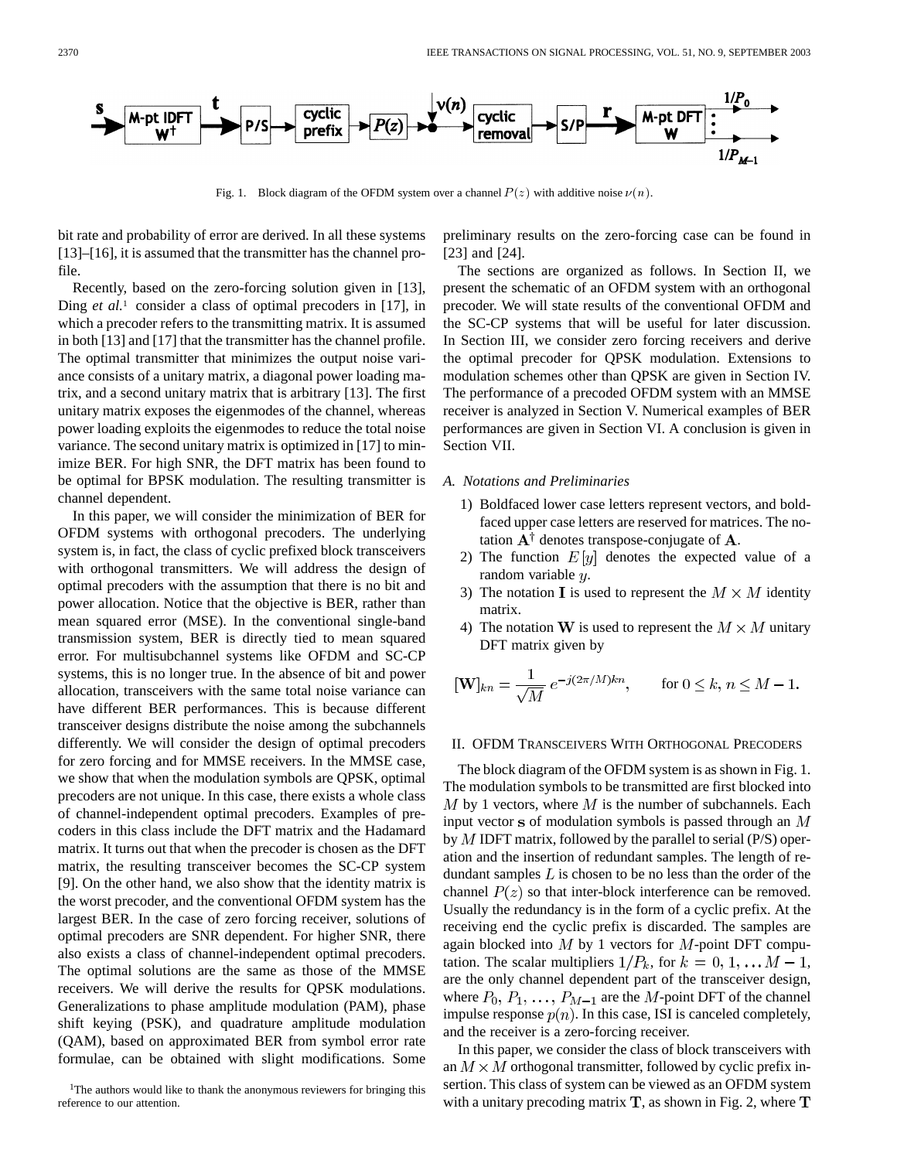

Fig. 1. Block diagram of the OFDM system over a channel  $P(z)$  with additive noise  $\nu(n)$ .

bit rate and probability of error are derived. In all these systems [13]–[16], it is assumed that the transmitter has the channel profile.

Recently, based on the zero-forcing solution given in [13], Ding *et al.*<sup>1</sup> consider a class of optimal precoders in [17], in which a precoder refers to the transmitting matrix. It is assumed in both [13] and [17] that the transmitter has the channel profile. The optimal transmitter that minimizes the output noise variance consists of a unitary matrix, a diagonal power loading matrix, and a second unitary matrix that is arbitrary [13]. The first unitary matrix exposes the eigenmodes of the channel, whereas power loading exploits the eigenmodes to reduce the total noise variance. The second unitary matrix is optimized in [17] to minimize BER. For high SNR, the DFT matrix has been found to be optimal for BPSK modulation. The resulting transmitter is channel dependent.

In this paper, we will consider the minimization of BER for OFDM systems with orthogonal precoders. The underlying system is, in fact, the class of cyclic prefixed block transceivers with orthogonal transmitters. We will address the design of optimal precoders with the assumption that there is no bit and power allocation. Notice that the objective is BER, rather than mean squared error (MSE). In the conventional single-band transmission system, BER is directly tied to mean squared error. For multisubchannel systems like OFDM and SC-CP systems, this is no longer true. In the absence of bit and power allocation, transceivers with the same total noise variance can have different BER performances. This is because different transceiver designs distribute the noise among the subchannels differently. We will consider the design of optimal precoders for zero forcing and for MMSE receivers. In the MMSE case, we show that when the modulation symbols are QPSK, optimal precoders are not unique. In this case, there exists a whole class of channel-independent optimal precoders. Examples of precoders in this class include the DFT matrix and the Hadamard matrix. It turns out that when the precoder is chosen as the DFT matrix, the resulting transceiver becomes the SC-CP system [9]. On the other hand, we also show that the identity matrix is the worst precoder, and the conventional OFDM system has the largest BER. In the case of zero forcing receiver, solutions of optimal precoders are SNR dependent. For higher SNR, there also exists a class of channel-independent optimal precoders. The optimal solutions are the same as those of the MMSE receivers. We will derive the results for QPSK modulations. Generalizations to phase amplitude modulation (PAM), phase shift keying (PSK), and quadrature amplitude modulation (QAM), based on approximated BER from symbol error rate formulae, can be obtained with slight modifications. Some preliminary results on the zero-forcing case can be found in [23] and [24].

The sections are organized as follows. In Section II, we present the schematic of an OFDM system with an orthogonal precoder. We will state results of the conventional OFDM and the SC-CP systems that will be useful for later discussion. In Section III, we consider zero forcing receivers and derive the optimal precoder for QPSK modulation. Extensions to modulation schemes other than QPSK are given in Section IV. The performance of a precoded OFDM system with an MMSE receiver is analyzed in Section V. Numerical examples of BER performances are given in Section VI. A conclusion is given in Section VII.

#### *A. Notations and Preliminaries*

- 1) Boldfaced lower case letters represent vectors, and boldfaced upper case letters are reserved for matrices. The notation  $A^{\dagger}$  denotes transpose-conjugate of A.
- 2) The function  $E[y]$  denotes the expected value of a random variable  $y$ .
- 3) The notation **I** is used to represent the  $M \times M$  identity matrix.
- 4) The notation W is used to represent the  $M \times M$  unitary DFT matrix given by

$$
[\mathbf{W}]_{kn} = \frac{1}{\sqrt{M}} e^{-j(2\pi/M)kn}, \quad \text{for } 0 \le k, n \le M - 1.
$$

#### II. OFDM TRANSCEIVERS WITH ORTHOGONAL PRECODERS

The block diagram of the OFDM system is as shown in Fig. 1. The modulation symbols to be transmitted are first blocked into  $M$  by 1 vectors, where  $M$  is the number of subchannels. Each input vector s of modulation symbols is passed through an  $M$ by  $M$  IDFT matrix, followed by the parallel to serial (P/S) operation and the insertion of redundant samples. The length of redundant samples  $L$  is chosen to be no less than the order of the channel  $P(z)$  so that inter-block interference can be removed. Usually the redundancy is in the form of a cyclic prefix. At the receiving end the cyclic prefix is discarded. The samples are again blocked into  $M$  by 1 vectors for  $M$ -point DFT computation. The scalar multipliers  $1/P_k$ , for  $k = 0, 1, \ldots M - 1$ , are the only channel dependent part of the transceiver design, where  $P_0, P_1, \ldots, P_{M-1}$  are the M-point DFT of the channel impulse response  $p(n)$ . In this case, ISI is canceled completely, and the receiver is a zero-forcing receiver.

In this paper, we consider the class of block transceivers with an  $M \times M$  orthogonal transmitter, followed by cyclic prefix insertion. This class of system can be viewed as an OFDM system with a unitary precoding matrix  $T$ , as shown in Fig. 2, where  $T$ 

<sup>&</sup>lt;sup>1</sup>The authors would like to thank the anonymous reviewers for bringing this reference to our attention.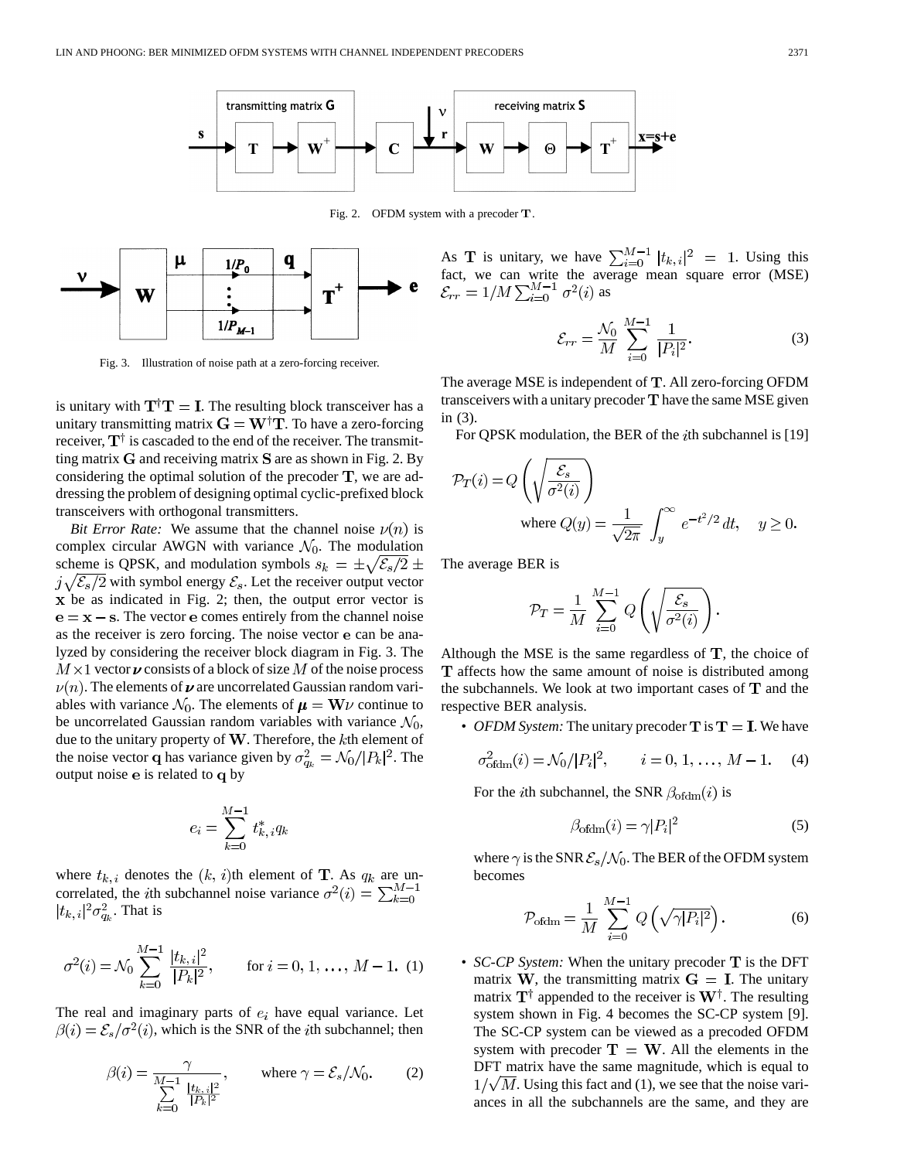

Fig. 2. OFDM system with a precoder T.



Fig. 3. Illustration of noise path at a zero-forcing receiver.

is unitary with  $T^{\dagger}T = I$ . The resulting block transceiver has a unitary transmitting matrix  $G = W^{\dagger}T$ . To have a zero-forcing receiver,  $T^{\dagger}$  is cascaded to the end of the receiver. The transmitting matrix  $G$  and receiving matrix  $S$  are as shown in Fig. 2. By considering the optimal solution of the precoder  $T$ , we are addressing the problem of designing optimal cyclic-prefixed block transceivers with orthogonal transmitters.

*Bit Error Rate:* We assume that the channel noise  $\nu(n)$  is complex circular AWGN with variance  $\mathcal{N}_0$ . The modulation scheme is QPSK, and modulation symbols  $s_k = \pm \sqrt{\mathcal{E}_s/2} \pm \mathcal{E}_s$  $j\sqrt{\mathcal{E}_s/2}$  with symbol energy  $\mathcal{E}_s$ . Let the receiver output vector  $x$  be as indicated in Fig. 2; then, the output error vector is  $\mathbf{e} = \mathbf{x} - \mathbf{s}$ . The vector **e** comes entirely from the channel noise as the receiver is zero forcing. The noise vector e can be analyzed by considering the receiver block diagram in Fig. 3. The  $M \times 1$  vector  $\nu$  consists of a block of size M of the noise process  $\nu(n)$ . The elements of  $\nu$  are uncorrelated Gaussian random variables with variance  $\mathcal{N}_0$ . The elements of  $\mu = W \nu$  continue to be uncorrelated Gaussian random variables with variance  $\mathcal{N}_0$ , due to the unitary property of  $W$ . Therefore, the  $k$ th element of the noise vector q has variance given by  $\sigma_{q_k}^2 = \mathcal{N}_0/|P_k|^2$ . The output noise e is related to q by

$$
e_i=\sum_{k=0}^{M-1}\,t^*_{k,\,i}q_k
$$

where  $t_{k,i}$  denotes the  $(k, i)$ th element of **T**. As  $q_k$  are uncorrelated, the *i*th subchannel noise variance  $\sigma^2(i) = \sum_{k=0}^{M-1}$  $|t_{k, i}|^2 \sigma_{q_k}^2$ . That is

$$
\sigma^{2}(i) = \mathcal{N}_{0} \sum_{k=0}^{M-1} \frac{|t_{k, i}|^{2}}{|P_{k}|^{2}}, \quad \text{for } i = 0, 1, ..., M-1.
$$
 (1)

The real and imaginary parts of  $e_i$  have equal variance. Let  $\beta(i) = \mathcal{E}_s/\sigma^2(i)$ , which is the SNR of the *i*th subchannel; then

$$
\beta(i) = \frac{\gamma}{\sum_{k=0}^{M-1} \frac{|t_k, i|^2}{|P_k|^2}}, \quad \text{where } \gamma = \mathcal{E}_s / \mathcal{N}_0.
$$
 (2)

As **T** is unitary, we have  $\sum_{i=0}^{M-1} |t_{k,i}|^2 = 1$ . Using this fact, we can write the average mean square error (MSE) as

$$
\mathcal{E}_{rr} = \frac{\mathcal{N}_0}{M} \sum_{i=0}^{M-1} \frac{1}{|P_i|^2}.
$$
 (3)

The average MSE is independent of  $T$ . All zero-forcing OFDM transceivers with a unitary precoder  $T$  have the same MSE given in (3).

For QPSK modulation, the BER of the  $i$ th subchannel is [19]

$$
\mathcal{P}_T(i) = Q\left(\sqrt{\frac{\mathcal{E}_s}{\sigma^2(i)}}\right)
$$
  
where  $Q(y) = \frac{1}{\sqrt{2\pi}} \int_y^{\infty} e^{-t^2/2} dt$ ,  $y \ge 0$ .

The average BER is

$$
\mathcal{P}_T = \frac{1}{M} \sum_{i=0}^{M-1} Q\left(\sqrt{\frac{\mathcal{E}_s}{\sigma^2(i)}}\right).
$$

Although the MSE is the same regardless of  $T$ , the choice of **T** affects how the same amount of noise is distributed among the subchannels. We look at two important cases of  $T$  and the respective BER analysis.

• *OFDM System:* The unitary precoder  $T$  is  $T = I$ . We have

$$
\sigma_{\text{ofdm}}^2(i) = \mathcal{N}_0 / |P_i|^2, \qquad i = 0, 1, ..., M - 1.
$$
 (4)

For the *i*th subchannel, the SNR  $\beta_{\text{ofdm}}(i)$  is

$$
\beta_{\text{ofdm}}(i) = \gamma |P_i|^2 \tag{5}
$$

where  $\gamma$  is the SNR  $\mathcal{E}_s/\mathcal{N}_0$ . The BER of the OFDM system becomes

$$
\mathcal{P}_{\text{ofdm}} = \frac{1}{M} \sum_{i=0}^{M-1} Q\left(\sqrt{\gamma |P_i|^2}\right). \tag{6}
$$

• *SC-CP System:* When the unitary precoder **T** is the DFT matrix **W**, the transmitting matrix  $G = I$ . The unitary matrix  $T^{\dagger}$  appended to the receiver is  $W^{\dagger}$ . The resulting system shown in Fig. 4 becomes the SC-CP system [9]. The SC-CP system can be viewed as a precoded OFDM system with precoder  $T = W$ . All the elements in the DFT matrix have the same magnitude, which is equal to  $1/\sqrt{M}$ . Using this fact and (1), we see that the noise variances in all the subchannels are the same, and they are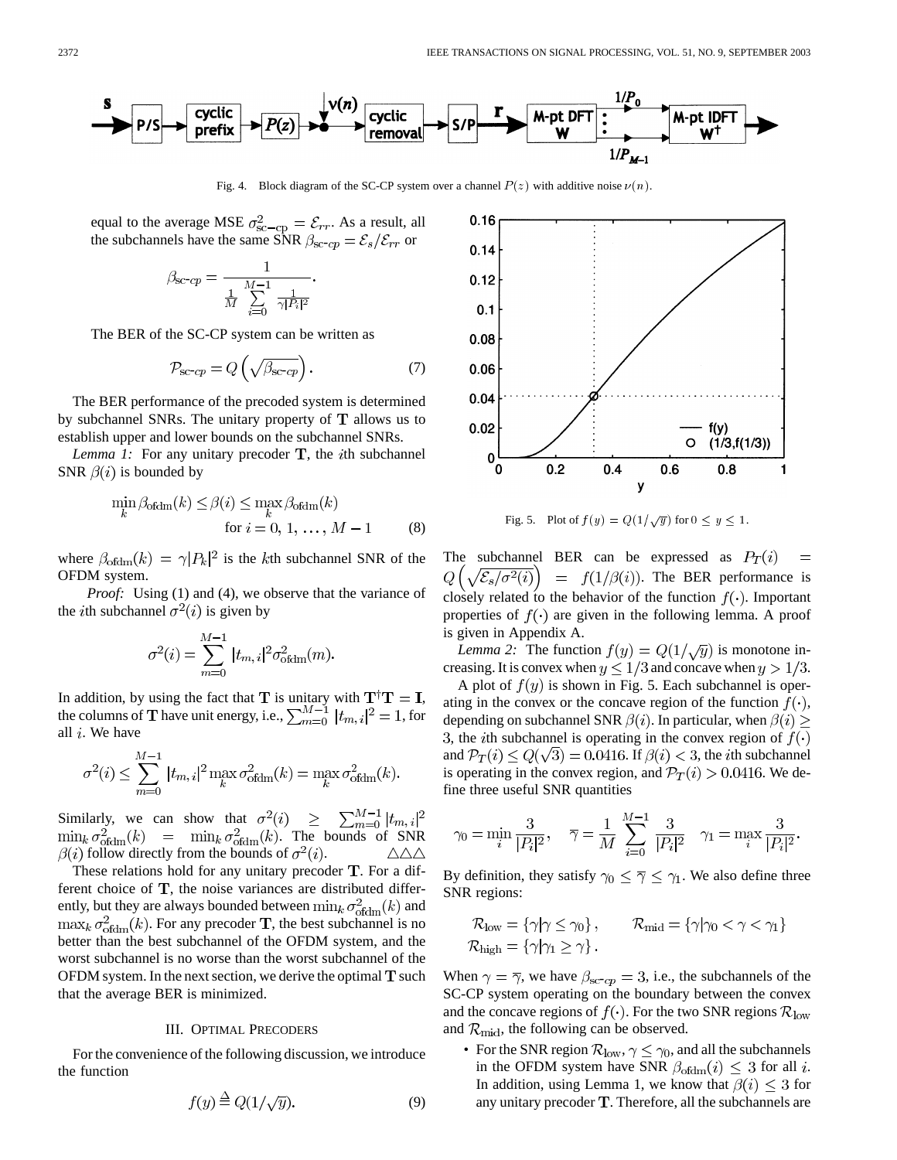

Fig. 4. Block diagram of the SC-CP system over a channel  $P(z)$  with additive noise  $\nu(n)$ .

equal to the average MSE  $\sigma_{\text{sc-cp}}^2 = \mathcal{E}_{rr}$ . As a result, all the subchannels have the same SNR  $\beta_{\rm sc-cp} = \mathcal{E}_s/\mathcal{E}_{rr}$  or

$$
\beta_{\text{sc-}cp} = \frac{1}{\frac{1}{M} \sum_{i=0}^{M-1} \frac{1}{\gamma |P_i|^2}}.
$$

The BER of the SC-CP system can be written as

$$
\mathcal{P}_{\text{sc-}cp} = Q\left(\sqrt{\beta_{\text{sc-}cp}}\right). \tag{7}
$$

The BER performance of the precoded system is determined by subchannel SNRs. The unitary property of  $T$  allows us to establish upper and lower bounds on the subchannel SNRs.

*Lemma 1:* For any unitary precoder  $T$ , the *i*th subchannel SNR  $\beta(i)$  is bounded by

$$
\min_{k} \beta_{\text{ofdm}}(k) \le \beta(i) \le \max_{k} \beta_{\text{ofdm}}(k)
$$
  
for  $i = 0, 1, ..., M - 1$  (8)

where  $\beta_{\text{ofdm}}(k) = \gamma |P_k|^2$  is the kth subchannel SNR of the OFDM system.

*Proof:* Using (1) and (4), we observe that the variance of the *i*th subchannel  $\sigma^2(i)$  is given by

$$
\sigma^{2}(i) = \sum_{m=0}^{M-1} |t_{m,i}|^{2} \sigma_{\text{ofdm}}^{2}(m).
$$

In addition, by using the fact that  $T$  is unitary with  $T^{\dagger}T = I$ , the columns of T have unit energy, i.e.,  $\sum_{m=0}^{M-1} |t_{m,i}|^2 = 1$ , for all  $i$ . We have

$$
\sigma^{2}(i) \leq \sum_{m=0}^{M-1} |t_{m,\,i}|^{2} \max_{k} \sigma_{\text{ofdm}}^{2}(k) = \max_{k} \sigma_{\text{ofdm}}^{2}(k).
$$

Similarly, we can show that . The bounds of SNR  $\beta(i)$  follow directly from the bounds of  $\sigma^2(i)$ .  $\triangle\triangle\triangle$ 

These relations hold for any unitary precoder  $T$ . For a different choice of  $T$ , the noise variances are distributed differently, but they are always bounded between  $\min_k \sigma_{\text{ofdm}}^2(k)$  and  $\max_k \sigma_{\text{ofdm}}^2(k)$ . For any precoder **T**, the best subchannel is no better than the best subchannel of the OFDM system, and the worst subchannel is no worse than the worst subchannel of the OFDM system. In the next section, we derive the optimal  $\mathbf T$  such that the average BER is minimized.

### III. OPTIMAL PRECODERS

For the convenience of the following discussion, we introduce the function

J

$$
f(y) \stackrel{\Delta}{=} Q(1/\sqrt{y}).\tag{9}
$$



Fig. 5. Plot of  $f(y) = Q(1/\sqrt{y})$  for  $0 \le y \le 1$ .

The subchannel BER can be expressed as  $P_T(i)$  $\equiv$  $Q(\sqrt{\mathcal{E}_s/\sigma^2(i)}) = f(1/\beta(i))$ . The BER performance is closely related to the behavior of the function  $f(\cdot)$ . Important properties of  $f(\cdot)$  are given in the following lemma. A proof is given in Appendix A.

*Lemma 2:* The function  $f(y) = Q(1/\sqrt{y})$  is monotone increasing. It is convex when  $y \leq 1/3$  and concave when  $y > 1/3$ .

A plot of  $f(y)$  is shown in Fig. 5. Each subchannel is operating in the convex or the concave region of the function  $f(\cdot)$ , depending on subchannel SNR  $\beta(i)$ . In particular, when  $\beta(i) \geq$ 3, the *i*th subchannel is operating in the convex region of  $f(\cdot)$ and  $\mathcal{P}_T(i) \leq Q(\sqrt{3}) = 0.0416$ . If  $\beta(i) < 3$ , the *i*th subchannel is operating in the convex region, and  $\mathcal{P}_T(i) > 0.0416$ . We define three useful SNR quantities

$$
\gamma_0 = \min_i \frac{3}{|P_i|^2}, \quad \overline{\gamma} = \frac{1}{M} \sum_{i=0}^{M-1} \frac{3}{|P_i|^2} \quad \gamma_1 = \max_i \frac{3}{|P_i|^2}.
$$

By definition, they satisfy  $\gamma_0 \leq \overline{\gamma} \leq \gamma_1$ . We also define three SNR regions:

$$
\mathcal{R}_{\text{low}} = \{ \gamma | \gamma \le \gamma_0 \}, \qquad \mathcal{R}_{\text{mid}} = \{ \gamma | \gamma_0 < \gamma < \gamma_1 \}
$$
\n
$$
\mathcal{R}_{\text{high}} = \{ \gamma | \gamma_1 \ge \gamma \}.
$$

When  $\gamma = \overline{\gamma}$ , we have  $\beta_{\text{sc-cp}} = 3$ , i.e., the subchannels of the SC-CP system operating on the boundary between the convex and the concave regions of  $f(\cdot)$ . For the two SNR regions  $\mathcal{R}_{\text{low}}$ and  $\mathcal{R}_{mid}$ , the following can be observed.

• For the SNR region  $\mathcal{R}_{\text{low}}, \gamma \leq \gamma_0$ , and all the subchannels in the OFDM system have SNR  $\beta_{\text{ofdm}}(i) \leq 3$  for all *i*. In addition, using Lemma 1, we know that  $\beta(i) \leq 3$  for any unitary precoder  $T$ . Therefore, all the subchannels are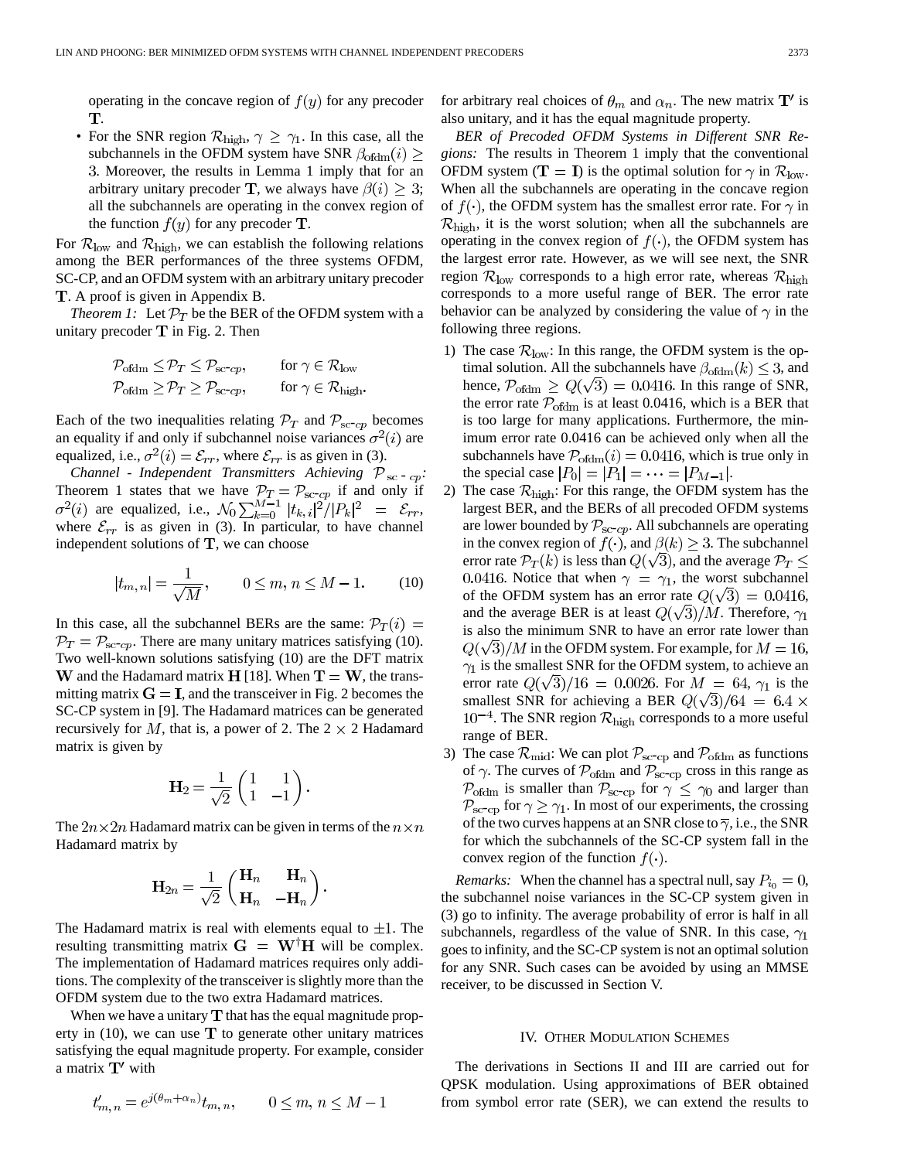operating in the concave region of  $f(y)$  for any precoder T.

• For the SNR region  $\mathcal{R}_{\text{high}}$ ,  $\gamma \geq \gamma_1$ . In this case, all the subchannels in the OFDM system have SNR  $\beta_{\text{ofdm}}(i) \geq$ . Moreover, the results in Lemma 1 imply that for an arbitrary unitary precoder T, we always have  $\beta(i) \geq 3$ ; all the subchannels are operating in the convex region of the function  $f(y)$  for any precoder **T**.

For  $\mathcal{R}_{\text{low}}$  and  $\mathcal{R}_{\text{high}}$ , we can establish the following relations among the BER performances of the three systems OFDM, SC-CP, and an OFDM system with an arbitrary unitary precoder . A proof is given in Appendix B.

*Theorem 1:* Let  $P_T$  be the BER of the OFDM system with a unitary precoder  $T$  in Fig. 2. Then

$$
\mathcal{P}_{\text{ofdm}} \leq \mathcal{P}_T \leq \mathcal{P}_{\text{sc-cp}}, \qquad \text{for } \gamma \in \mathcal{R}_{\text{low}}
$$
  

$$
\mathcal{P}_{\text{ofdm}} \geq \mathcal{P}_T \geq \mathcal{P}_{\text{sc-cp}}, \qquad \text{for } \gamma \in \mathcal{R}_{\text{high}}
$$

Each of the two inequalities relating  $\mathcal{P}_T$  and  $\mathcal{P}_{\text{sc-cp}}$  becomes an equality if and only if subchannel noise variances  $\sigma^2(i)$  are equalized, i.e.,  $\sigma^2(i) = \mathcal{E}_{rr}$ , where  $\mathcal{E}_{rr}$  is as given in (3).

*Channel - Independent Transmitters Achieving*  $P_{\text{sc}}$  *-*  $_{cp}$ *:* Theorem 1 states that we have  $P_T = P_{\text{sc-}cp}$  if and only if are equalized, i.e.,  $\mathcal{N}_0 \sum_{k=0}^{M-1} |t_{k,i}|^2 / |P_k|^2 = \mathcal{E}_{rr}$ , where  $\mathcal{E}_{rr}$  is as given in (3). In particular, to have channel independent solutions of  $T$ , we can choose

$$
|t_{m,n}| = \frac{1}{\sqrt{M}}, \qquad 0 \le m, n \le M - 1. \tag{10}
$$

In this case, all the subchannel BERs are the same:  $\mathcal{P}_T(i) =$  $\mathcal{P}_T = \mathcal{P}_{\text{sc-cp}}$ . There are many unitary matrices satisfying (10). Two well-known solutions satisfying (10) are the DFT matrix W and the Hadamard matrix **H** [18]. When  $T = W$ , the transmitting matrix  $G = I$ , and the transceiver in Fig. 2 becomes the SC-CP system in [9]. The Hadamard matrices can be generated recursively for M, that is, a power of 2. The  $2 \times 2$  Hadamard matrix is given by

$$
\mathbf{H}_2 = \frac{1}{\sqrt{2}} \begin{pmatrix} 1 & 1 \\ 1 & -1 \end{pmatrix}.
$$

The  $2n \times 2n$  Hadamard matrix can be given in terms of the  $n \times n$ Hadamard matrix by

$$
\mathbf{H}_{2n} = \frac{1}{\sqrt{2}} \begin{pmatrix} \mathbf{H}_n & \mathbf{H}_n \\ \mathbf{H}_n & -\mathbf{H}_n \end{pmatrix}.
$$

The Hadamard matrix is real with elements equal to  $\pm 1$ . The resulting transmitting matrix  $G = W^{\dagger}H$  will be complex. The implementation of Hadamard matrices requires only additions. The complexity of the transceiver is slightly more than the OFDM system due to the two extra Hadamard matrices.

When we have a unitary  $T$  that has the equal magnitude property in  $(10)$ , we can use T to generate other unitary matrices satisfying the equal magnitude property. For example, consider a matrix  $T'$  with

$$
t'_{m,n} = e^{j(\theta_m + \alpha_n)} t_{m,n}, \qquad 0 \le m, n \le M - 1
$$

for arbitrary real choices of  $\theta_m$  and  $\alpha_n$ . The new matrix **T'** is also unitary, and it has the equal magnitude property.

*BER of Precoded OFDM Systems in Different SNR Regions:* The results in Theorem 1 imply that the conventional OFDM system ( $T = I$ ) is the optimal solution for  $\gamma$  in  $\mathcal{R}_{\text{low}}$ . When all the subchannels are operating in the concave region of  $f(\cdot)$ , the OFDM system has the smallest error rate. For  $\gamma$  in  $\mathcal{R}_{\text{high}}$ , it is the worst solution; when all the subchannels are operating in the convex region of  $f(\cdot)$ , the OFDM system has the largest error rate. However, as we will see next, the SNR region  $\mathcal{R}_{\text{low}}$  corresponds to a high error rate, whereas  $\mathcal{R}_{\text{high}}$ corresponds to a more useful range of BER. The error rate behavior can be analyzed by considering the value of  $\gamma$  in the following three regions.

- 1) The case  $\mathcal{R}_{\text{low}}$ : In this range, the OFDM system is the optimal solution. All the subchannels have  $\beta_{\text{ofdm}}(k) \leq 3$ , and hence,  $\mathcal{P}_{\text{ofdm}} \geq Q(\sqrt{3}) = 0.0416$ . In this range of SNR, the error rate  $P_{\text{ofdm}}$  is at least 0.0416, which is a BER that is too large for many applications. Furthermore, the minimum error rate 0.0416 can be achieved only when all the subchannels have  $P_{\text{ofdm}}(i) = 0.0416$ , which is true only in the special case  $|P_0| = |P_1| = \cdots = |P_{M-1}|$ .
- 2) The case  $\mathcal{R}_{\text{high}}$ : For this range, the OFDM system has the largest BER, and the BERs of all precoded OFDM systems are lower bounded by  $P_{\text{sc-}cp}$ . All subchannels are operating in the convex region of  $f(\cdot)$ , and  $\beta(k) \geq 3$ . The subchannel error rate  $\mathcal{P}_T(k)$  is less than  $Q(\sqrt{3})$ , and the average  $\mathcal{P}_T \leq$ 0.0416. Notice that when  $\gamma = \gamma_1$ , the worst subchannel of the OFDM system has an error rate  $Q(\sqrt{3}) = 0.0416$ , and the average BER is at least  $Q(\sqrt{3})/M$ . Therefore,  $\gamma_1$ is also the minimum SNR to have an error rate lower than  $Q(\sqrt{3})/M$  in the OFDM system. For example, for  $M = 16$ ,  $\gamma_1$  is the smallest SNR for the OFDM system, to achieve an error rate  $Q(\sqrt{3})/16 = 0.0026$ . For  $M = 64$ ,  $\gamma_1$  is the smallest SNR for achieving a BER  $Q(\sqrt{3})/64 = 6.4 \times$  $10^{-4}$ . The SNR region  $\mathcal{R}_{\text{high}}$  corresponds to a more useful range of BER.
- 3) The case  $\mathcal{R}_{\text{mid}}$ : We can plot  $\mathcal{P}_{\text{sc-cp}}$  and  $\mathcal{P}_{\text{ofdm}}$  as functions of  $\gamma$ . The curves of  $P_{\text{ofdm}}$  and  $P_{\text{sc-cp}}$  cross in this range as  $P_{\text{ofdm}}$  is smaller than  $P_{\text{sc-cp}}$  for  $\gamma \leq \gamma_0$  and larger than  $P_{\text{sc-cp}}$  for  $\gamma \geq \gamma_1$ . In most of our experiments, the crossing of the two curves happens at an SNR close to  $\overline{\gamma}$ , i.e., the SNR for which the subchannels of the SC-CP system fall in the convex region of the function  $f(\cdot)$ .

*Remarks:* When the channel has a spectral null, say  $P_{i0} = 0$ , the subchannel noise variances in the SC-CP system given in (3) go to infinity. The average probability of error is half in all subchannels, regardless of the value of SNR. In this case,  $\gamma_1$ goes to infinity, and the SC-CP system is not an optimal solution for any SNR. Such cases can be avoided by using an MMSE receiver, to be discussed in Section V.

#### IV. OTHER MODULATION SCHEMES

The derivations in Sections II and III are carried out for QPSK modulation. Using approximations of BER obtained from symbol error rate (SER), we can extend the results to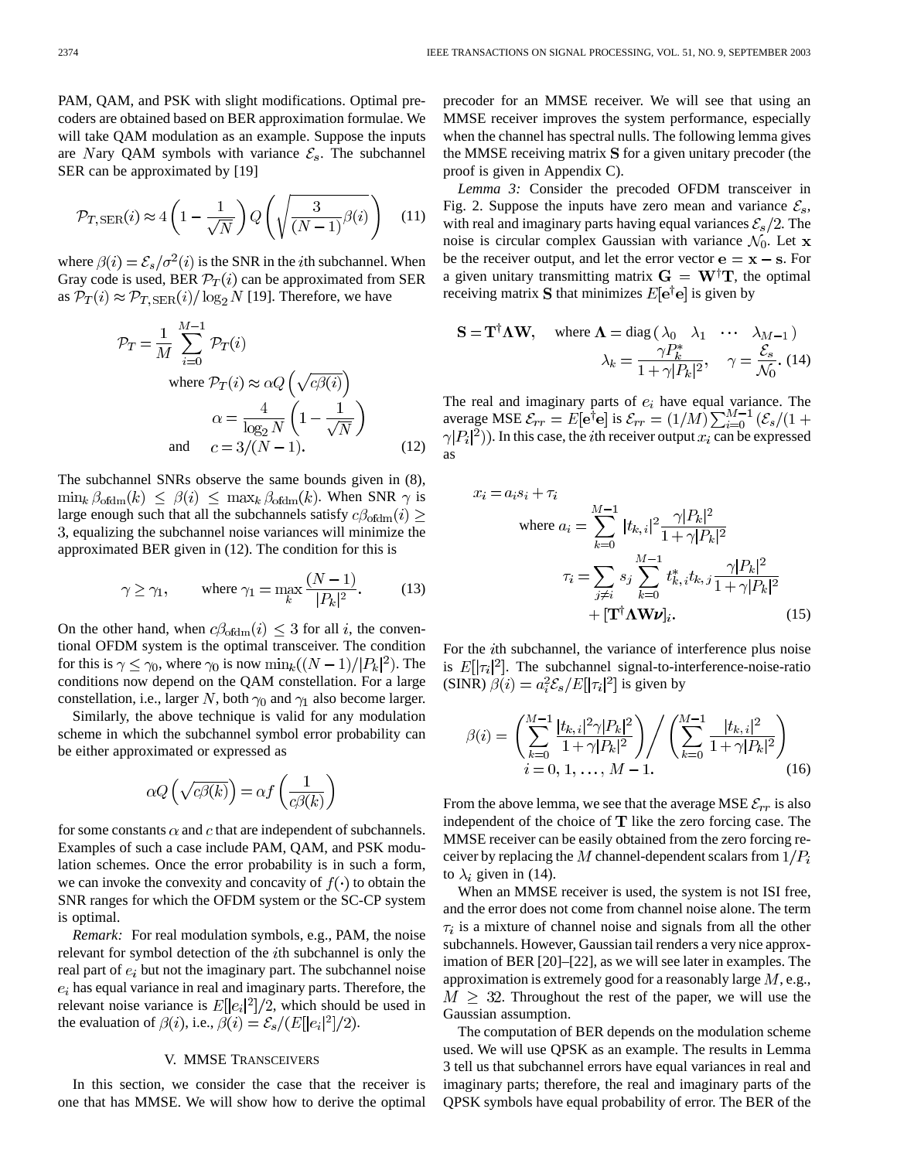PAM, QAM, and PSK with slight modifications. Optimal precoders are obtained based on BER approximation formulae. We will take QAM modulation as an example. Suppose the inputs are Nary QAM symbols with variance  $\mathcal{E}_s$ . The subchannel SER can be approximated by [19]

$$
\mathcal{P}_{T,\text{SER}}(i) \approx 4\left(1 - \frac{1}{\sqrt{N}}\right) Q\left(\sqrt{\frac{3}{(N-1)}\beta(i)}\right) \quad (11)
$$

where  $\beta(i) = \mathcal{E}_s/\sigma^2(i)$  is the SNR in the *i*th subchannel. When Gray code is used, BER  $\mathcal{P}_T(i)$  can be approximated from SER as  $\mathcal{P}_T(i) \approx \mathcal{P}_{T, \text{SER}}(i) / \log_2 N$  [19]. Therefore, we have

$$
\mathcal{P}_T = \frac{1}{M} \sum_{i=0}^{M-1} \mathcal{P}_T(i)
$$
  
where  $\mathcal{P}_T(i) \approx \alpha Q \left( \sqrt{c\beta(i)} \right)$   

$$
\alpha = \frac{4}{\log_2 N} \left( 1 - \frac{1}{\sqrt{N}} \right)
$$
  
and 
$$
c = 3/(N-1).
$$
 (12)

The subchannel SNRs observe the same bounds given in (8),  $\min_k \beta_{\text{ofdm}}(k) \leq \beta(i) \leq \max_k \beta_{\text{ofdm}}(k)$ . When SNR  $\gamma$  is large enough such that all the subchannels satisfy  $c\beta_{\text{ofdm}}(i) \geq$ , equalizing the subchannel noise variances will minimize the approximated BER given in (12). The condition for this is

$$
\gamma \ge \gamma_1
$$
, where  $\gamma_1 = \max_k \frac{(N-1)}{|P_k|^2}$ . (13)

On the other hand, when  $c\beta_{\text{ofdm}}(i) \leq 3$  for all i, the conventional OFDM system is the optimal transceiver. The condition for this is  $\gamma \leq \gamma_0$ , where  $\gamma_0$  is now  $\min_k((N-1)/|P_k|^2)$ . The conditions now depend on the QAM constellation. For a large constellation, i.e., larger N, both  $\gamma_0$  and  $\gamma_1$  also become larger.

Similarly, the above technique is valid for any modulation scheme in which the subchannel symbol error probability can be either approximated or expressed as

$$
\alpha Q\left(\sqrt{c\beta(k)}\right) = \alpha f\left(\frac{1}{c\beta(k)}\right)
$$

for some constants  $\alpha$  and c that are independent of subchannels. Examples of such a case include PAM, QAM, and PSK modulation schemes. Once the error probability is in such a form, we can invoke the convexity and concavity of  $f(\cdot)$  to obtain the SNR ranges for which the OFDM system or the SC-CP system is optimal.

*Remark:* For real modulation symbols, e.g., PAM, the noise relevant for symbol detection of the  $i$ th subchannel is only the real part of  $e_i$  but not the imaginary part. The subchannel noise  $e_i$  has equal variance in real and imaginary parts. Therefore, the relevant noise variance is  $E[|e_i|^2]/2$ , which should be used in the evaluation of  $\beta(i)$ , i.e.,  $\beta(i) = \mathcal{E}_s / (E[|e_i|^2]/2)$ .

## V. MMSE TRANSCEIVERS

In this section, we consider the case that the receiver is one that has MMSE. We will show how to derive the optimal precoder for an MMSE receiver. We will see that using an MMSE receiver improves the system performance, especially when the channel has spectral nulls. The following lemma gives the MMSE receiving matrix  $S$  for a given unitary precoder (the proof is given in Appendix C).

*Lemma 3:* Consider the precoded OFDM transceiver in Fig. 2. Suppose the inputs have zero mean and variance  $\mathcal{E}_s$ , with real and imaginary parts having equal variances  $\mathcal{E}_s/2$ . The noise is circular complex Gaussian with variance  $\mathcal{N}_0$ . Let x be the receiver output, and let the error vector  $\mathbf{e} = \mathbf{x} - \mathbf{s}$ . For a given unitary transmitting matrix  $G = W^{\dagger}T$ , the optimal receiving matrix S that minimizes  $E[e^{\dagger}e]$  is given by

$$
\mathbf{S} = \mathbf{T}^{\dagger} \mathbf{\Lambda} \mathbf{W}, \quad \text{where } \mathbf{\Lambda} = \text{diag} \left( \lambda_0 \lambda_1 \cdots \lambda_{M-1} \right)
$$

$$
\lambda_k = \frac{\gamma P_k^*}{1 + \gamma |P_k|^2}, \quad \gamma = \frac{\mathcal{E}_s}{\mathcal{N}_0}. \tag{14}
$$

The real and imaginary parts of  $e_i$  have equal variance. The average MSE  $\mathcal{E}_{rr} = E[\mathbf{e}^\dagger \mathbf{e}]$  is . In this case, the *i*th receiver output  $x_i$  can be expressed as

$$
x_i = a_i s_i + \tau_i
$$
  
\nwhere  $a_i = \sum_{k=0}^{M-1} |t_{k,i}|^2 \frac{\gamma |P_k|^2}{1 + \gamma |P_k|^2}$   
\n
$$
\tau_i = \sum_{j \neq i} s_j \sum_{k=0}^{M-1} t_{k,i}^* t_{k,j} \frac{\gamma |P_k|^2}{1 + \gamma |P_k|^2}
$$
  
\n
$$
+ [\mathbf{T}^{\dagger} \mathbf{\Lambda} \mathbf{W} \mathbf{v}]_i.
$$
 (15)

For the *i*th subchannel, the variance of interference plus noise is  $E[|\tau_i|^2]$ . The subchannel signal-to-interference-noise-ratio (SINR)  $\beta(i) = a_i^2 \mathcal{E}_s / E[|\tau_i|^2]$  is given by

$$
\beta(i) = \left(\sum_{k=0}^{M-1} \frac{|t_{k,i}|^2 \gamma |P_k|^2}{1 + \gamma |P_k|^2}\right) / \left(\sum_{k=0}^{M-1} \frac{|t_{k,i}|^2}{1 + \gamma |P_k|^2}\right)_{i=0, 1, ..., M-1} \tag{16}
$$

From the above lemma, we see that the average MSE  $\mathcal{E}_{rr}$  is also independent of the choice of  $T$  like the zero forcing case. The MMSE receiver can be easily obtained from the zero forcing receiver by replacing the M channel-dependent scalars from  $1/P_i$ to  $\lambda_i$  given in (14).

When an MMSE receiver is used, the system is not ISI free, and the error does not come from channel noise alone. The term  $\tau_i$  is a mixture of channel noise and signals from all the other subchannels. However, Gaussian tail renders a very nice approximation of BER [20]–[22], as we will see later in examples. The approximation is extremely good for a reasonably large  $M$ , e.g.,  $M \geq 32$ . Throughout the rest of the paper, we will use the Gaussian assumption.

The computation of BER depends on the modulation scheme used. We will use QPSK as an example. The results in Lemma 3 tell us that subchannel errors have equal variances in real and imaginary parts; therefore, the real and imaginary parts of the QPSK symbols have equal probability of error. The BER of the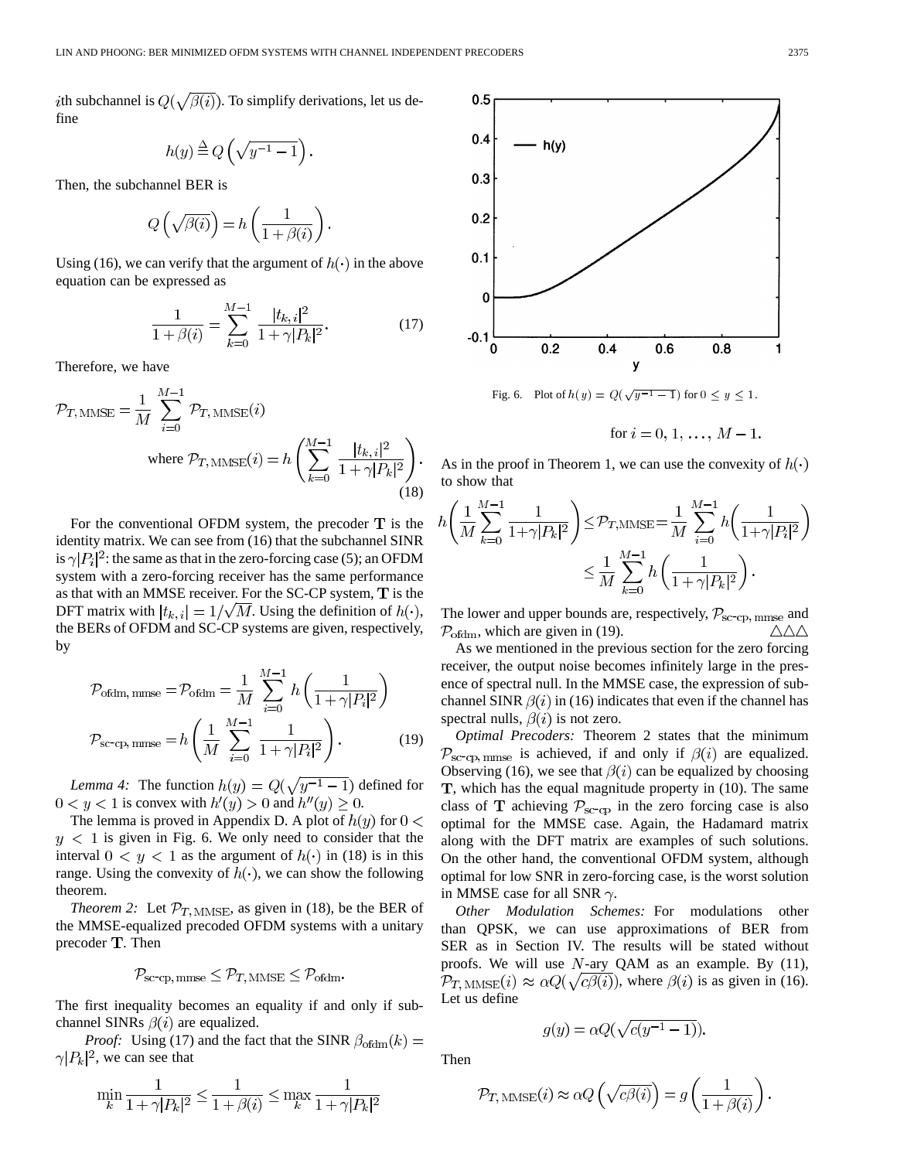*i*th subchannel is  $Q(\sqrt{\beta(i)})$ . To simplify derivations, let us define

$$
h(y) \stackrel{\Delta}{=} Q\left(\sqrt{y^{-1} - 1}\right).
$$

Then, the subchannel BER is

$$
Q\left(\sqrt{\beta(i)}\right) = h\left(\frac{1}{1+\beta(i)}\right).
$$

Using (16), we can verify that the argument of  $h(\cdot)$  in the above equation can be expressed as

$$
\frac{1}{1+\beta(i)} = \sum_{k=0}^{M-1} \frac{|t_{k,i}|^2}{1+\gamma|P_k|^2}.
$$
 (17)

Therefore, we have

$$
\mathcal{P}_{T,\text{MMSE}} = \frac{1}{M} \sum_{i=0}^{M-1} \mathcal{P}_{T,\text{MMSE}}(i)
$$
  
where  $\mathcal{P}_{T,\text{MMSE}}(i) = h \left( \sum_{k=0}^{M-1} \frac{|t_{k,i}|^2}{1 + \gamma |P_k|^2} \right).$  (18)

For the conventional OFDM system, the precoder  $T$  is the identity matrix. We can see from (16) that the subchannel SINR is  $\gamma |P_i|^2$ : the same as that in the zero-forcing case (5); an OFDM system with a zero-forcing receiver has the same performance as that with an MMSE receiver. For the SC-CP system,  $T$  is the DFT matrix with  $|t_{k,i}| = 1/\sqrt{M}$ . Using the definition of  $h(\cdot)$ , the BERs of OFDM and SC-CP systems are given, respectively, by

$$
\mathcal{P}_{\text{ofdm, mmse}} = \mathcal{P}_{\text{ofdm}} = \frac{1}{M} \sum_{i=0}^{M-1} h\left(\frac{1}{1+\gamma|P_i|^2}\right)
$$

$$
\mathcal{P}_{\text{sc-cp, mmse}} = h\left(\frac{1}{M} \sum_{i=0}^{M-1} \frac{1}{1+\gamma|P_i|^2}\right). \tag{19}
$$

*Lemma 4:* The function  $h(y) = Q(\sqrt{y^{-1} - 1})$  defined for  $0 < y < 1$  is convex with  $h'(y) > 0$  and  $h''(y) \ge 0$ .

The lemma is proved in Appendix D. A plot of  $h(y)$  for  $0 <$  $y < 1$  is given in Fig. 6. We only need to consider that the interval  $0 < y < 1$  as the argument of  $h(\cdot)$  in (18) is in this range. Using the convexity of  $h(\cdot)$ , we can show the following theorem.

*Theorem 2:* Let  $\mathcal{P}_{T,\text{MMSE}}$ , as given in (18), be the BER of the MMSE-equalized precoded OFDM systems with a unitary precoder  $T$ . Then

$$
\mathcal{P}_{\text{sc-cp, mmse}} \leq \mathcal{P}_{T, \text{MMSE}} \leq \mathcal{P}_{\text{ofdm}}.
$$

The first inequality becomes an equality if and only if subchannel SINRs  $\beta(i)$  are equalized.

*Proof:* Using (17) and the fact that the SINR  $\beta_{\text{ofdm}}(k)$  =  $\gamma |P_k|^2$ , we can see that

$$
\min_k \frac{1}{1+\gamma|P_k|^2} \leq \frac{1}{1+\beta(i)} \leq \max_k \frac{1}{1+\gamma|P_k|^2}
$$



for  $i = 0, 1, ..., M - 1$ .

As in the proof in Theorem 1, we can use the convexity of  $h(\cdot)$ to show that

$$
\begin{split} h\Bigg(\frac{1}{M}\sum_{k=0}^{M-1}\frac{1}{1+\gamma|P_k|^2}\Bigg) &\leq \mathcal{P}_{T,\mathrm{MMSE}}\!=\!\frac{1}{M}\sum_{i=0}^{M-1}h\bigg(\frac{1}{1+\gamma|P_i|^2}\bigg)\\ &\leq \frac{1}{M}\sum_{k=0}^{M-1}h\left(\frac{1}{1+\gamma|P_k|^2}\right). \end{split}
$$

The lower and upper bounds are, respectively,  $P_{\text{sc-cp, mmse}}$  and  $P_{\text{ofdm}}$ , which are given in (19).  $\triangle\triangle\triangle$ 

As we mentioned in the previous section for the zero forcing receiver, the output noise becomes infinitely large in the presence of spectral null. In the MMSE case, the expression of subchannel SINR  $\beta(i)$  in (16) indicates that even if the channel has spectral nulls,  $\beta(i)$  is not zero.

*Optimal Precoders:* Theorem 2 states that the minimum  $\mathcal{P}_{\text{sc-cp, mmse}}$  is achieved, if and only if  $\beta(i)$  are equalized. Observing (16), we see that  $\beta(i)$  can be equalized by choosing  $T$ , which has the equal magnitude property in (10). The same class of T achieving  $P_{\text{sc-cp}}$  in the zero forcing case is also optimal for the MMSE case. Again, the Hadamard matrix along with the DFT matrix are examples of such solutions. On the other hand, the conventional OFDM system, although optimal for low SNR in zero-forcing case, is the worst solution in MMSE case for all SNR  $\gamma$ .

*Other Modulation Schemes:* For modulations other than QPSK, we can use approximations of BER from SER as in Section IV. The results will be stated without proofs. We will use  $N$ -ary QAM as an example. By (11),  $\mathcal{P}_{T,\text{MMSE}}(i) \approx \alpha Q(\sqrt{c\beta(i)})$ , where  $\beta(i)$  is as given in (16). Let us define

Then

$$
\mathcal{P}_{T,\,\mathrm{MMSE}}(i) \approx \alpha Q\left(\sqrt{c\beta(i)}\right) = g\left(\frac{1}{1+\beta(i)}\right)
$$

 $g(y) = \alpha Q(\sqrt{c(y^{-1} - 1)}).$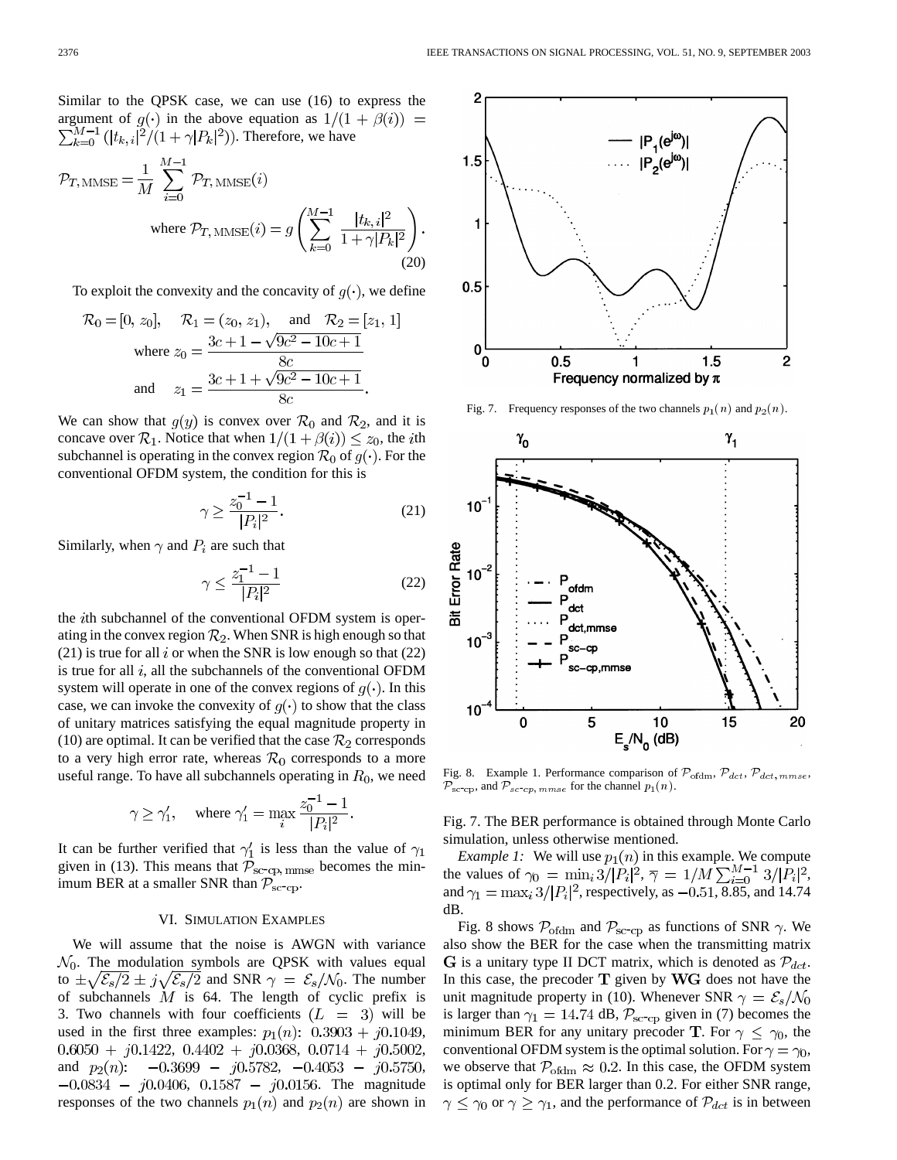Similar to the QPSK case, we can use (16) to express the argument of  $g(\cdot)$  in the above equation as  $1/(1 + \beta(i)) =$  $\sum_{k=0}^{M-1} (|t_{k,i}|^2/(1+\gamma|P_k|^2)).$  Therefore, we have

$$
\mathcal{P}_{T,\text{MMSE}} = \frac{1}{M} \sum_{i=0}^{M-1} \mathcal{P}_{T,\text{MMSE}}(i)
$$
  
where  $\mathcal{P}_{T,\text{MMSE}}(i) = g \left( \sum_{k=0}^{M-1} \frac{|t_{k,\,i}|^2}{1 + \gamma |P_k|^2} \right).$  (20)

To exploit the convexity and the concavity of  $q(\cdot)$ , we define

$$
\mathcal{R}_0 = [0, z_0], \quad \mathcal{R}_1 = (z_0, z_1), \text{ and } \mathcal{R}_2 = [z_1, 1]
$$
\nwhere  $z_0 = \frac{3c + 1 - \sqrt{9c^2 - 10c + 1}}{8c}$   
\nand  $z_1 = \frac{3c + 1 + \sqrt{9c^2 - 10c + 1}}{8c}$ .

We can show that  $g(y)$  is convex over  $\mathcal{R}_0$  and  $\mathcal{R}_2$ , and it is concave over  $\mathcal{R}_1$ . Notice that when  $1/(1 + \beta(i)) \leq z_0$ , the *i*th subchannel is operating in the convex region  $\mathcal{R}_0$  of  $g(\cdot)$ . For the conventional OFDM system, the condition for this is

$$
\gamma \ge \frac{z_0^{-1} - 1}{|P_i|^2}.
$$
\n(21)

Similarly, when  $\gamma$  and  $P_i$  are such that

$$
\gamma \le \frac{z_1^{-1} - 1}{|P_i|^2} \tag{22}
$$

the *i*th subchannel of the conventional OFDM system is operating in the convex region  $\mathcal{R}_2$ . When SNR is high enough so that (21) is true for all  $i$  or when the SNR is low enough so that (22) is true for all  $i$ , all the subchannels of the conventional OFDM system will operate in one of the convex regions of  $q(\cdot)$ . In this case, we can invoke the convexity of  $q(\cdot)$  to show that the class of unitary matrices satisfying the equal magnitude property in (10) are optimal. It can be verified that the case  $\mathcal{R}_2$  corresponds to a very high error rate, whereas  $\mathcal{R}_0$  corresponds to a more useful range. To have all subchannels operating in  $R_0$ , we need

$$
\gamma \ge \gamma'_1
$$
, where  $\gamma'_1 = \max_i \frac{z_0^{-1} - 1}{|P_i|^2}$ .

It can be further verified that  $\gamma_1$  is less than the value of  $\gamma_1$ given in (13). This means that  $P_{\text{sc-cp, mmse}}$  becomes the minimum BER at a smaller SNR than  $P_{\text{sc-cp}}$ .

## VI. SIMULATION EXAMPLES

We will assume that the noise is AWGN with variance  $\mathcal{N}_0$ . The modulation symbols are QPSK with values equal to  $\pm \sqrt{\mathcal{E}_s/2} \pm j\sqrt{\mathcal{E}_s/2}$  and SNR  $\gamma = \mathcal{E}_s/\mathcal{N}_0$ . The number of subchannels  $M$  is 64. The length of cyclic prefix is 3. Two channels with four coefficients  $(L = 3)$  will be used in the first three examples:  $p_1(n)$ : 0.3903 + j0.1049,  $0.6050 + j0.1422, 0.4402 + j0.0368, 0.0714 + j0.5002,$ and  $p_2(n)$ :  $-0.3699 - j0.5782$ ,  $-0.4053 - j0.5750$ ,  $-0.0834$  – j0.0406, 0.1587 – j0.0156. The magnitude responses of the two channels  $p_1(n)$  and  $p_2(n)$  are shown in



Fig. 7. Frequency responses of the two channels  $p_1(n)$  and  $p_2(n)$ .



Fig. 8. Example 1. Performance comparison of  $\mathcal{P}_{\text{ofdm}}, \mathcal{P}_{\text{dct}}, \mathcal{P}_{\text{dct}, \,mmse},$  $\mathcal{P}_{\rm sc-cp},$  and  $\mathcal{P}_{\rm sc-cp},$   $_{mmse}$  for the channel  $p_1(n)$ .

Fig. 7. The BER performance is obtained through Monte Carlo simulation, unless otherwise mentioned.

*Example 1:* We will use  $p_1(n)$  in this example. We compute the values of  $\gamma_0 = \min_i 3/|P_i|^2$ ,  $\overline{\gamma} = 1/M \sum_{i=0}^{M-1} 3/|P_i|^2$ , and  $\gamma_1 = \max_i 3/|P_i|^2$ , respectively, as  $-0.51$ , 8.85, and 14.74 dB.

Fig. 8 shows  $P_{\text{ofdm}}$  and  $P_{\text{sc-cp}}$  as functions of SNR  $\gamma$ . We also show the BER for the case when the transmitting matrix G is a unitary type II DCT matrix, which is denoted as  $P_{\text{det}}$ . In this case, the precoder  $T$  given by  $WG$  does not have the unit magnitude property in (10). Whenever SNR  $\gamma = \mathcal{E}_s/\mathcal{N}_0$ is larger than  $\gamma_1 = 14.74$  dB,  $P_{\text{sc-cp}}$  given in (7) becomes the minimum BER for any unitary precoder **T**. For  $\gamma \leq \gamma_0$ , the conventional OFDM system is the optimal solution. For  $\gamma = \gamma_0$ , we observe that  $P_{\text{ofdm}} \approx 0.2$ . In this case, the OFDM system is optimal only for BER larger than 0.2. For either SNR range,  $\gamma \leq \gamma_0$  or  $\gamma \geq \gamma_1$ , and the performance of  $\mathcal{P}_{dct}$  is in between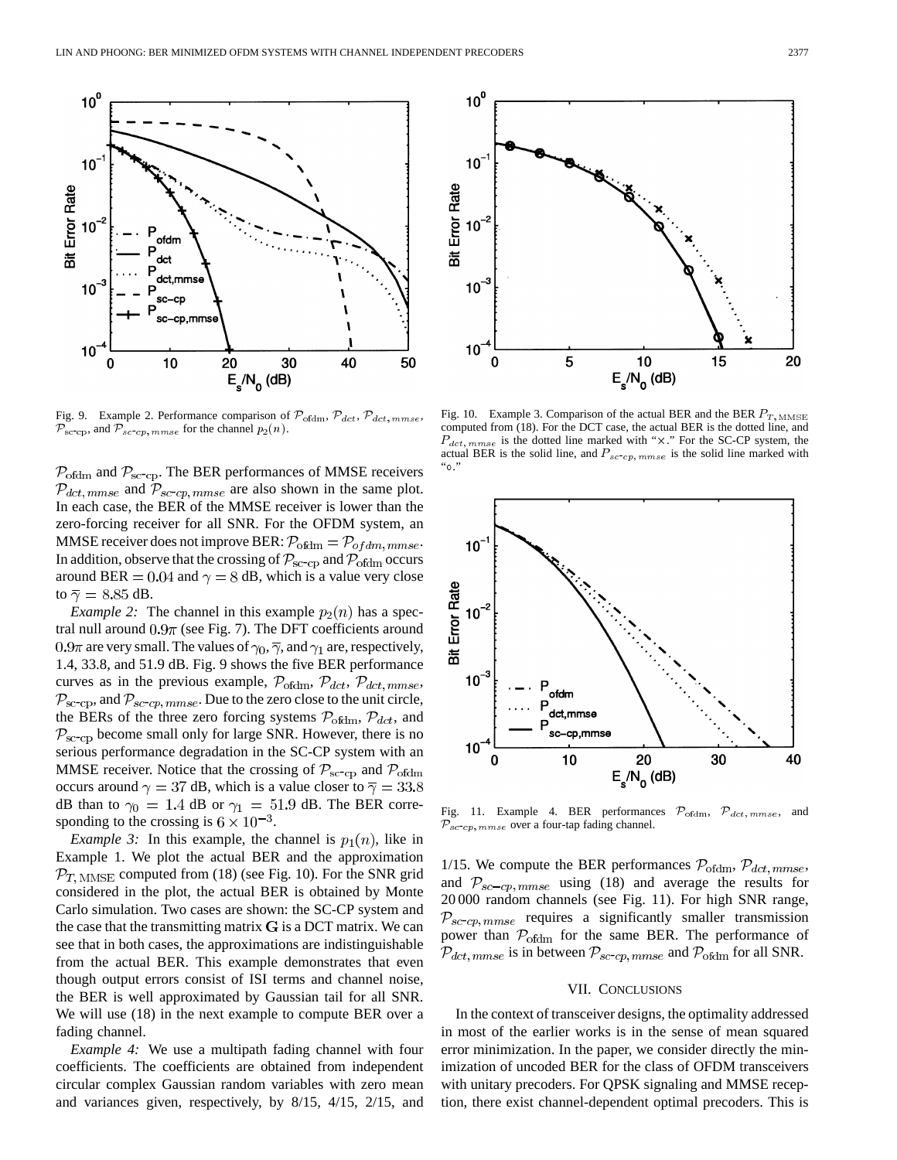

Fig. 9. Example 2. Performance comparison of  $\mathcal{P}_{\text{ofdm}}$ ,  $\mathcal{P}_{\text{dct}}$ ,  $\mathcal{P}_{\text{dct}}$ ,  $\mathcal{P}_{\text{met}}$ ,  $\mathcal{P}_{\text{dct}}$ ,  $\mathcal{P}_{\text{dct}}$ ,  $\mathcal{P}_{\text{dct}}$ ,  $\mathcal{P}_{\text{dct}}$ ,  $\mathcal{P}_{\text{dct}}$ ,  $\mathcal{P}_{\text{dct}}$ ,  $\mathcal{P}_{\text{dct}}$ ,  $\mathcal{P}_{\text{sc-cp}}$ , and  $\mathcal{P}_{\text{sc-cp}}$ ,  $_{mmse}$  for the channel  $p_2(n)$ .

 $P_{\text{ofdm}}$  and  $P_{\text{sc-cp}}$ . The BER performances of MMSE receivers  $P_{dct, mmse}$  and  $P_{sc-cp, mmse}$  are also shown in the same plot. In each case, the BER of the MMSE receiver is lower than the zero-forcing receiver for all SNR. For the OFDM system, an MMSE receiver does not improve BER:  $P_{\text{ofdm}} = P_{\text{ofdm, mmse}}$ . In addition, observe that the crossing of  $P_{\text{sc-cp}}$  and  $P_{\text{ofdm}}$  occurs around BER = 0.04 and  $\gamma = 8$  dB, which is a value very close to  $\overline{\gamma} = 8.85$  dB.

*Example 2:* The channel in this example  $p_2(n)$  has a spectral null around  $0.9\pi$  (see Fig. 7). The DFT coefficients around  $0.9\pi$  are very small. The values of  $\gamma_0$ ,  $\overline{\gamma}$ , and  $\gamma_1$  are, respectively, 1.4, 33.8, and 51.9 dB. Fig. 9 shows the five BER performance curves as in the previous example,  $P_{\text{ofdm}}$ ,  $P_{\text{dct}}$ ,  $P_{\text{dct, mmse}}$ ,  $P_{\text{sc-cp}}$ , and  $P_{\text{sc-cp}}$ ,  $m$ mse. Due to the zero close to the unit circle, the BERs of the three zero forcing systems  $\mathcal{P}_{\text{ofdm}}$ ,  $\mathcal{P}_{\text{dct}}$ , and  $P_{\text{sc-cp}}$  become small only for large SNR. However, there is no serious performance degradation in the SC-CP system with an MMSE receiver. Notice that the crossing of  $P_{\text{sc-cp}}$  and  $P_{\text{ofdm}}$ occurs around  $\gamma = 37$  dB, which is a value closer to  $\overline{\gamma} = 33.8$ dB than to  $\gamma_0 = 1.4$  dB or  $\gamma_1 = 51.9$  dB. The BER corresponding to the crossing is  $6 \times 10^{-3}$ .

*Example 3:* In this example, the channel is  $p_1(n)$ , like in Example 1. We plot the actual BER and the approximation  $\mathcal{P}_{T,\text{MMSE}}$  computed from (18) (see Fig. 10). For the SNR grid considered in the plot, the actual BER is obtained by Monte Carlo simulation. Two cases are shown: the SC-CP system and the case that the transmitting matrix  $\bf{G}$  is a DCT matrix. We can see that in both cases, the approximations are indistinguishable from the actual BER. This example demonstrates that even though output errors consist of ISI terms and channel noise, the BER is well approximated by Gaussian tail for all SNR. We will use (18) in the next example to compute BER over a fading channel.

*Example 4:* We use a multipath fading channel with four coefficients. The coefficients are obtained from independent circular complex Gaussian random variables with zero mean and variances given, respectively, by 8/15, 4/15, 2/15, and



Fig. 10. Example 3. Comparison of the actual BER and the BER  $P_{T, \text{MMSE}}$ computed from (18). For the DCT case, the actual BER is the dotted line, and  $P_{dct, mmse}$  is the dotted line marked with " $\times$ ." For the SC-CP system, the actual BER is the solid line, and  $P_{sc-cp, mmse}$  is the solid line marked with  $``\circ$  ."



Fig. 11. Example 4. BER performances  $\mathcal{P}_{\text{ofdm}}$ ,  $\mathcal{P}_{\text{dct, mmse}}$ , and  $\mathcal{P}_{sc-cp, \,mmse}$  over a four-tap fading channel.

1/15. We compute the BER performances  $P_{\text{ofdm}}$ ,  $P_{\text{dct, mmse}}$ , and  $\mathcal{P}_{sc-cp, mmse}$  using (18) and average the results for 20 000 random channels (see Fig. 11). For high SNR range,  $\mathcal{P}_{sc-cp, \,mmse}$  requires a significantly smaller transmission power than  $P_{\text{ofdm}}$  for the same BER. The performance of  $\mathcal{P}_{dct,mmse}$  is in between  $\mathcal{P}_{sc-cp,mmse}$  and  $\mathcal{P}_{\text{ofdm}}$  for all SNR.

#### VII. CONCLUSIONS

In the context of transceiver designs, the optimality addressed in most of the earlier works is in the sense of mean squared error minimization. In the paper, we consider directly the minimization of uncoded BER for the class of OFDM transceivers with unitary precoders. For QPSK signaling and MMSE reception, there exist channel-dependent optimal precoders. This is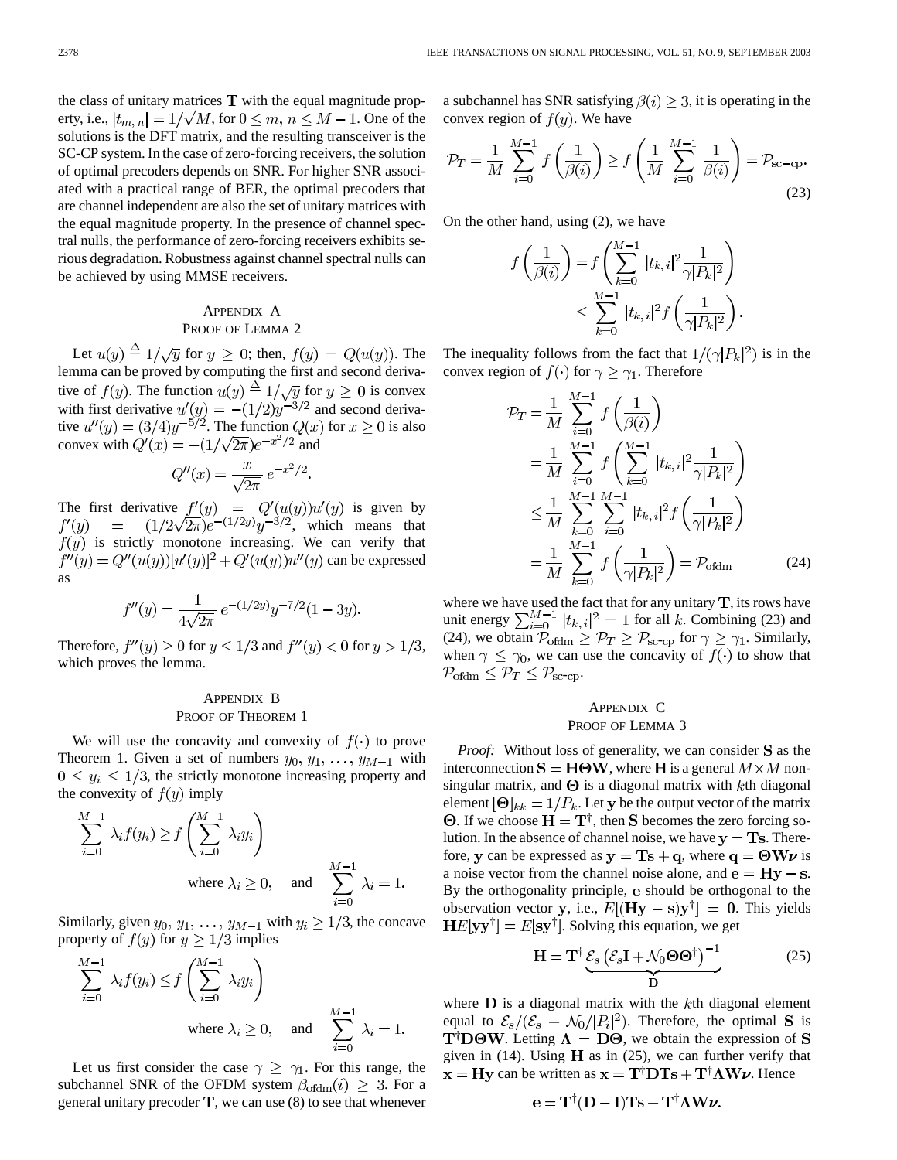the class of unitary matrices  $T$  with the equal magnitude property, i.e.,  $|t_{m,n}| = 1/\sqrt{M}$ , for  $0 \leq m, n \leq M-1$ . One of the solutions is the DFT matrix, and the resulting transceiver is the SC-CP system. In the case of zero-forcing receivers, the solution of optimal precoders depends on SNR. For higher SNR associated with a practical range of BER, the optimal precoders that are channel independent are also the set of unitary matrices with the equal magnitude property. In the presence of channel spectral nulls, the performance of zero-forcing receivers exhibits serious degradation. Robustness against channel spectral nulls can be achieved by using MMSE receivers.

# APPENDIX A PROOF OF LEMMA 2

Let  $u(y) \stackrel{\triangle}{=} 1/\sqrt{y}$  for  $y \geq 0$ ; then,  $f(y) = Q(u(y))$ . The lemma can be proved by computing the first and second derivative of  $f(y)$ . The function  $u(y) \stackrel{\Delta}{=} 1/\sqrt{y}$  for  $y \ge 0$  is convex with first derivative  $u'(y) = -(1/2)y^{-3/2}$  and second derivative  $u''(y) = (3/4)y^{-5/2}$ . The function  $Q(x)$  for  $x \ge 0$  is also convex with  $Q'(x) = -(1/\sqrt{2\pi})e^{-x^2/2}$  and

$$
Q''(x) = \frac{x}{\sqrt{2\pi}} e^{-x^2/2}.
$$

The first derivative  $f'(y) = Q'(u(y))u'(y)$  is given by , which means that  $f(y)$  is strictly monotone increasing. We can verify that  $f''(y) = Q''(u(y))[u'(y)]^2 + Q'(u(y))u''(y)$  can be expressed as

$$
f''(y) = \frac{1}{4\sqrt{2\pi}} e^{-(1/2y)} y^{-7/2} (1 - 3y).
$$

Therefore,  $f''(y) \ge 0$  for  $y \le 1/3$  and  $f''(y) < 0$  for  $y > 1/3$ , which proves the lemma.

## APPENDIX B PROOF OF THEOREM 1

We will use the concavity and convexity of  $f(\cdot)$  to prove Theorem 1. Given a set of numbers  $y_0, y_1, \ldots, y_{M-1}$  with  $0 \leq y_i \leq 1/3$ , the strictly monotone increasing property and the convexity of  $f(y)$  imply

$$
\sum_{i=0}^{M-1} \lambda_i f(y_i) \ge f\left(\sum_{i=0}^{M-1} \lambda_i y_i\right)
$$
  
where  $\lambda_i \ge 0$ , and  $\sum_{i=0}^{M-1} \lambda_i = 1$ .

Similarly, given  $y_0, y_1, \ldots, y_{M-1}$  with  $y_i \geq 1/3$ , the concave property of  $f(y)$  for  $y \ge 1/3$  implies

$$
\sum_{i=0}^{M-1} \lambda_i f(y_i) \le f\left(\sum_{i=0}^{M-1} \lambda_i y_i\right)
$$
  
where  $\lambda_i \ge 0$ , and  $\sum_{i=0}^{M-1} \lambda_i = 1$ .

Let us first consider the case  $\gamma \geq \gamma_1$ . For this range, the subchannel SNR of the OFDM system  $\beta_{\text{ofdm}}(i) \geq 3$ . For a general unitary precoder  $T$ , we can use (8) to see that whenever a subchannel has SNR satisfying  $\beta(i) \geq 3$ , it is operating in the convex region of  $f(y)$ . We have

$$
\mathcal{P}_T = \frac{1}{M} \sum_{i=0}^{M-1} f\left(\frac{1}{\beta(i)}\right) \ge f\left(\frac{1}{M} \sum_{i=0}^{M-1} \frac{1}{\beta(i)}\right) = \mathcal{P}_{\text{sc-cp}}.
$$
\n(23)

On the other hand, using (2), we have

$$
f\left(\frac{1}{\beta(i)}\right) = f\left(\sum_{k=0}^{M-1} |t_{k,i}|^2 \frac{1}{\gamma |P_k|^2}\right)
$$
  

$$
\leq \sum_{k=0}^{M-1} |t_{k,i}|^2 f\left(\frac{1}{\gamma |P_k|^2}\right)
$$

The inequality follows from the fact that  $1/(\gamma |P_k|^2)$  is in the convex region of  $f(\cdot)$  for  $\gamma \geq \gamma_1$ . Therefore

$$
\mathcal{P}_T = \frac{1}{M} \sum_{i=0}^{M-1} f\left(\frac{1}{\beta(i)}\right)
$$
  
=  $\frac{1}{M} \sum_{i=0}^{M-1} f\left(\sum_{k=0}^{M-1} |t_{k,i}|^2 \frac{1}{\gamma |P_k|^2}\right)$   
 $\leq \frac{1}{M} \sum_{k=0}^{M-1} \sum_{i=0}^{M-1} |t_{k,i}|^2 f\left(\frac{1}{\gamma |P_k|^2}\right)$   
=  $\frac{1}{M} \sum_{k=0}^{M-1} f\left(\frac{1}{\gamma |P_k|^2}\right) = \mathcal{P}_{\text{ofdm}}$  (24)

where we have used the fact that for any unitary  $T$ , its rows have unit energy  $\sum_{i=0}^{M-1} |t_{k,i}|^2 = 1$  for all k. Combining (23) and (24), we obtain  $\mathcal{P}_{\text{ofdm}} \geq \mathcal{P}_{T} \geq \mathcal{P}_{\text{sc-cp}}$  for  $\gamma \geq \gamma_1$ . Similarly, when  $\gamma \leq \gamma_0$ , we can use the concavity of  $f(\cdot)$  to show that  $\mathcal{P}_{\text{ofdm}} \leq \mathcal{P}_T \leq \mathcal{P}_{\text{sc-cp}}.$ 

# APPENDIX C PROOF OF LEMMA 3

*Proof:* Without loss of generality, we can consider S as the interconnection  $S = H\Theta W$ , where H is a general  $M \times M$  nonsingular matrix, and  $\Theta$  is a diagonal matrix with kth diagonal element  $[\Theta]_{kk} = 1/P_k$ . Let y be the output vector of the matrix  $\Theta$ . If we choose  $H = T^{\dagger}$ , then S becomes the zero forcing solution. In the absence of channel noise, we have  $y = Ts$ . Therefore, y can be expressed as  $y = Ts + q$ , where  $q = \Theta W \nu$  is a noise vector from the channel noise alone, and  $\mathbf{e} = \mathbf{H}\mathbf{v} - \mathbf{s}$ . By the orthogonality principle, e should be orthogonal to the observation vector y, i.e.,  $E[(\mathbf{Hy} - \mathbf{s})\mathbf{y}^\dagger] = 0$ . This yields  $HE[yy^{\dagger}] = E[sy^{\dagger}]$ . Solving this equation, we get

$$
\mathbf{H} = \mathbf{T}^{\dagger} \underbrace{\mathcal{E}_s \left( \mathcal{E}_s \mathbf{I} + \mathcal{N}_0 \boldsymbol{\Theta} \boldsymbol{\Theta}^{\dagger} \right)^{-1}}_{\mathbf{D}} \tag{25}
$$

where  $\bf{D}$  is a diagonal matrix with the kth diagonal element equal to  $\mathcal{E}_s/(\mathcal{E}_s + \mathcal{N}_0/|P_i|^2)$ . Therefore, the optimal **S** is T<sup>†</sup>D $\Theta$ W. Letting  $\Lambda =$  D $\Theta$ , we obtain the expression of S given in (14). Using  $H$  as in (25), we can further verify that  $x = Hy$  can be written as  $x = T^{\dagger}DTs + T^{\dagger}\Lambda W\nu$ . Hence

$$
\mathbf{e} = \mathbf{T}^{\dagger} (\mathbf{D} - \mathbf{I}) \mathbf{T} \mathbf{s} + \mathbf{T}^{\dagger} \mathbf{\Lambda} \mathbf{W} \mathbf{\nu}.
$$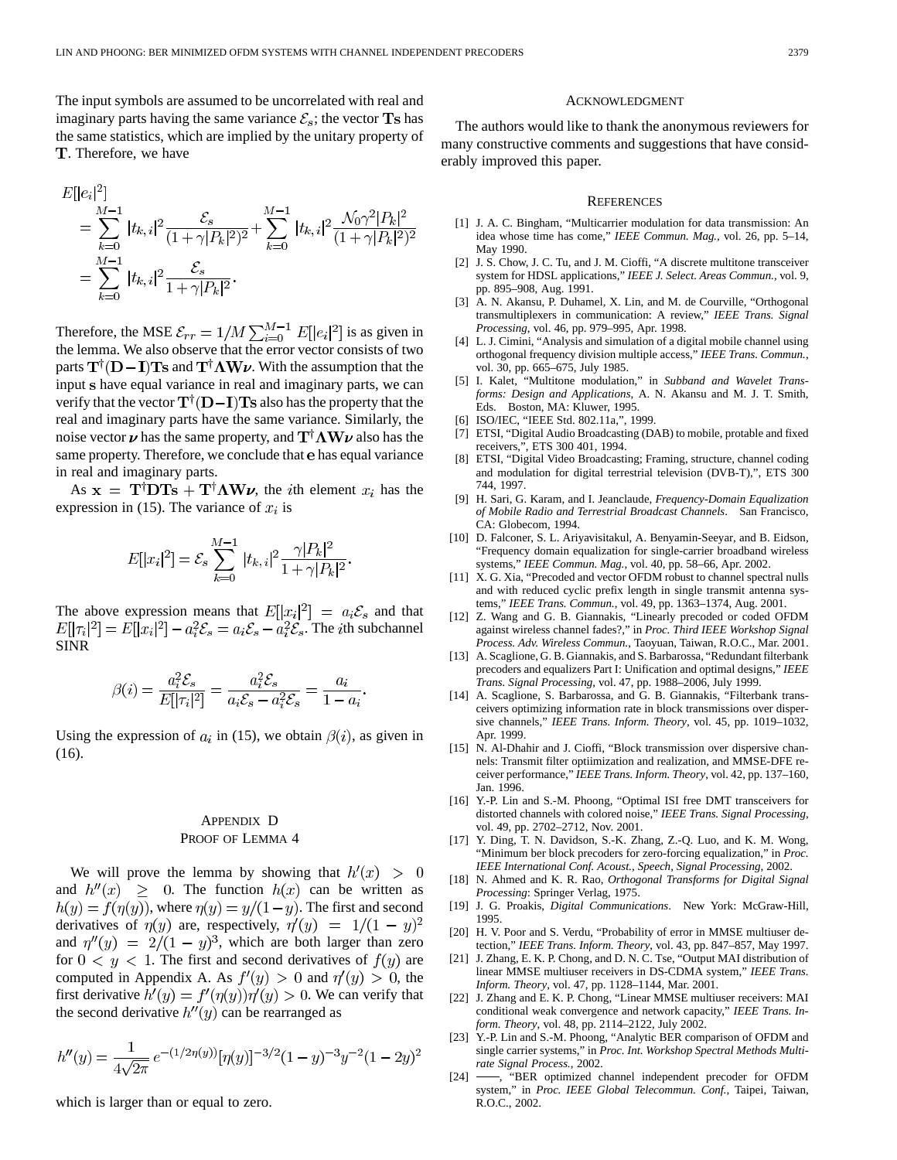The input symbols are assumed to be uncorrelated with real and imaginary parts having the same variance  $\mathcal{E}_s$ ; the vector **Ts** has the same statistics, which are implied by the unitary property of . Therefore, we have

$$
E[|e_i|^2] = \sum_{k=0}^{M-1} |t_{k,i}|^2 \frac{\mathcal{E}_s}{(1+\gamma|P_k|^2)^2} + \sum_{k=0}^{M-1} |t_{k,i}|^2 \frac{\mathcal{N}_0 \gamma^2 |P_k|^2}{(1+\gamma|P_k|^2)^2}
$$
  
= 
$$
\sum_{k=0}^{M-1} |t_{k,i}|^2 \frac{\mathcal{E}_s}{1+\gamma|P_k|^2}.
$$

Therefore, the MSE  $\mathcal{E}_{rr} = 1/M \sum_{i=0}^{M-1} E[|e_i|^2]$  is as given in the lemma. We also observe that the error vector consists of two parts  $T^{\dagger}(D-I)$  is and  $T^{\dagger}\Lambda W\nu$ . With the assumption that the input s have equal variance in real and imaginary parts, we can verify that the vector  $T^{\dagger} (D-I)$  is also has the property that the real and imaginary parts have the same variance. Similarly, the noise vector  $\nu$  has the same property, and  $T^{\dagger} \Lambda W \nu$  also has the same property. Therefore, we conclude that e has equal variance in real and imaginary parts.

As  $\mathbf{x} = \mathbf{T}^{\dagger} \mathbf{D} \mathbf{T} \mathbf{s} + \mathbf{T}^{\dagger} \mathbf{\Lambda} \mathbf{W} \boldsymbol{\nu}$ , the *i*th element  $x_i$  has the expression in (15). The variance of  $x_i$  is

$$
E[|x_i|^2] = \mathcal{E}_s \sum_{k=0}^{M-1} |t_{k,i}|^2 \frac{\gamma |P_k|^2}{1 + \gamma |P_k|^2}.
$$

The above expression means that  $E[|x_i|^2] = a_i \mathcal{E}_s$  and that  $E[|\tau_i|^2] = E[|x_i|^2] - a_i^2 \mathcal{E}_s = a_i \mathcal{E}_s - a_i^2 \mathcal{E}_s$ . The *i*th subchannel SINR

$$
\beta(i) = \frac{a_i^2 \mathcal{E}_s}{E[|\tau_i|^2]} = \frac{a_i^2 \mathcal{E}_s}{a_i \mathcal{E}_s - a_i^2 \mathcal{E}_s} = \frac{a_i}{1 - a_i}.
$$

Using the expression of  $a_i$  in (15), we obtain  $\beta(i)$ , as given in (16).

# APPENDIX D PROOF OF LEMMA 4

We will prove the lemma by showing that  $h'(x) > 0$ and  $h''(x) \geq 0$ . The function  $h(x)$  can be written as  $h(y) = f(\eta(y))$ , where  $\eta(y) = y/(1-y)$ . The first and second derivatives of  $\eta(y)$  are, respectively,  $\eta'(y) = 1/(1 - y)^2$ and  $\eta''(y) = 2/(1 - y)^3$ , which are both larger than zero for  $0 \lt y \lt 1$ . The first and second derivatives of  $f(y)$  are computed in Appendix A. As  $f'(y) > 0$  and  $\eta'(y) > 0$ , the first derivative  $h'(y) = f'(\eta(y))\eta'(y) > 0$ . We can verify that the second derivative  $h''(y)$  can be rearranged as

$$
h''(y) = \frac{1}{4\sqrt{2\pi}} e^{-(1/2\eta(y))} [\eta(y)]^{-3/2} (1-y)^{-3} y^{-2} (1-2y)^2
$$

which is larger than or equal to zero.

#### ACKNOWLEDGMENT

The authors would like to thank the anonymous reviewers for many constructive comments and suggestions that have considerably improved this paper.

#### **REFERENCES**

- [1] J. A. C. Bingham, "Multicarrier modulation for data transmission: An idea whose time has come," *IEEE Commun. Mag.*, vol. 26, pp. 5–14, May 1990.
- [2] J. S. Chow, J. C. Tu, and J. M. Cioffi, "A discrete multitone transceiver system for HDSL applications," *IEEE J. Select. Areas Commun.*, vol. 9, pp. 895–908, Aug. 1991.
- [3] A. N. Akansu, P. Duhamel, X. Lin, and M. de Courville, "Orthogonal transmultiplexers in communication: A review," *IEEE Trans. Signal Processing*, vol. 46, pp. 979–995, Apr. 1998.
- [4] L. J. Cimini, "Analysis and simulation of a digital mobile channel using orthogonal frequency division multiple access," *IEEE Trans. Commun.*, vol. 30, pp. 665–675, July 1985.
- [5] I. Kalet, "Multitone modulation," in *Subband and Wavelet Transforms: Design and Applications*, A. N. Akansu and M. J. T. Smith, Eds. Boston, MA: Kluwer, 1995.
- [6] ISO/IEC, "IEEE Std. 802.11a,", 1999.
- [7] ETSI, "Digital Audio Broadcasting (DAB) to mobile, protable and fixed receivers,", ETS 300 401, 1994.
- [8] ETSI, "Digital Video Broadcasting; Framing, structure, channel coding and modulation for digital terrestrial television (DVB-T),", ETS 300 744, 1997.
- [9] H. Sari, G. Karam, and I. Jeanclaude, *Frequency-Domain Equalization of Mobile Radio and Terrestrial Broadcast Channels*. San Francisco, CA: Globecom, 1994.
- [10] D. Falconer, S. L. Ariyavisitakul, A. Benyamin-Seeyar, and B. Eidson, "Frequency domain equalization for single-carrier broadband wireless systems," *IEEE Commun. Mag.*, vol. 40, pp. 58–66, Apr. 2002.
- [11] X. G. Xia, "Precoded and vector OFDM robust to channel spectral nulls and with reduced cyclic prefix length in single transmit antenna systems," *IEEE Trans. Commun.*, vol. 49, pp. 1363–1374, Aug. 2001.
- [12] Z. Wang and G. B. Giannakis, "Linearly precoded or coded OFDM against wireless channel fades?," in *Proc. Third IEEE Workshop Signal Process. Adv. Wireless Commun.*, Taoyuan, Taiwan, R.O.C., Mar. 2001.
- [13] A. Scaglione, G. B. Giannakis, and S. Barbarossa, "Redundant filterbank precoders and equalizers Part I: Unification and optimal designs," *IEEE Trans. Signal Processing*, vol. 47, pp. 1988–2006, July 1999.
- [14] A. Scaglione, S. Barbarossa, and G. B. Giannakis, "Filterbank transceivers optimizing information rate in block transmissions over dispersive channels," *IEEE Trans. Inform. Theory*, vol. 45, pp. 1019–1032, Apr. 1999.
- [15] N. Al-Dhahir and J. Cioffi, "Block transmission over dispersive channels: Transmit filter optiimization and realization, and MMSE-DFE receiver performance," *IEEE Trans. Inform. Theory*, vol. 42, pp. 137–160, Jan. 1996.
- [16] Y.-P. Lin and S.-M. Phoong, "Optimal ISI free DMT transceivers for distorted channels with colored noise," *IEEE Trans. Signal Processing*, vol. 49, pp. 2702–2712, Nov. 2001.
- [17] Y. Ding, T. N. Davidson, S.-K. Zhang, Z.-Q. Luo, and K. M. Wong, "Minimum ber block precoders for zero-forcing equalization," in *Proc. IEEE International Conf. Acoust., Speech, Signal Processing*, 2002.
- [18] N. Ahmed and K. R. Rao, *Orthogonal Transforms for Digital Signal Processing*: Springer Verlag, 1975.
- [19] J. G. Proakis, *Digital Communications*. New York: McGraw-Hill, 1995.
- [20] H. V. Poor and S. Verdu, "Probability of error in MMSE multiuser detection," *IEEE Trans. Inform. Theory*, vol. 43, pp. 847–857, May 1997.
- [21] J. Zhang, E. K. P. Chong, and D. N. C. Tse, "Output MAI distribution of linear MMSE multiuser receivers in DS-CDMA system," *IEEE Trans. Inform. Theory*, vol. 47, pp. 1128–1144, Mar. 2001.
- [22] J. Zhang and E. K. P. Chong, "Linear MMSE multiuser receivers: MAI conditional weak convergence and network capacity," *IEEE Trans. Inform. Theory*, vol. 48, pp. 2114–2122, July 2002.
- [23] Y.-P. Lin and S.-M. Phoong, "Analytic BER comparison of OFDM and single carrier systems," in *Proc. Int. Workshop Spectral Methods Multirate Signal Process.*, 2002.
- [24] -, "BER optimized channel independent precoder for OFDM system," in *Proc. IEEE Global Telecommun. Conf.*, Taipei, Taiwan, R.O.C., 2002.